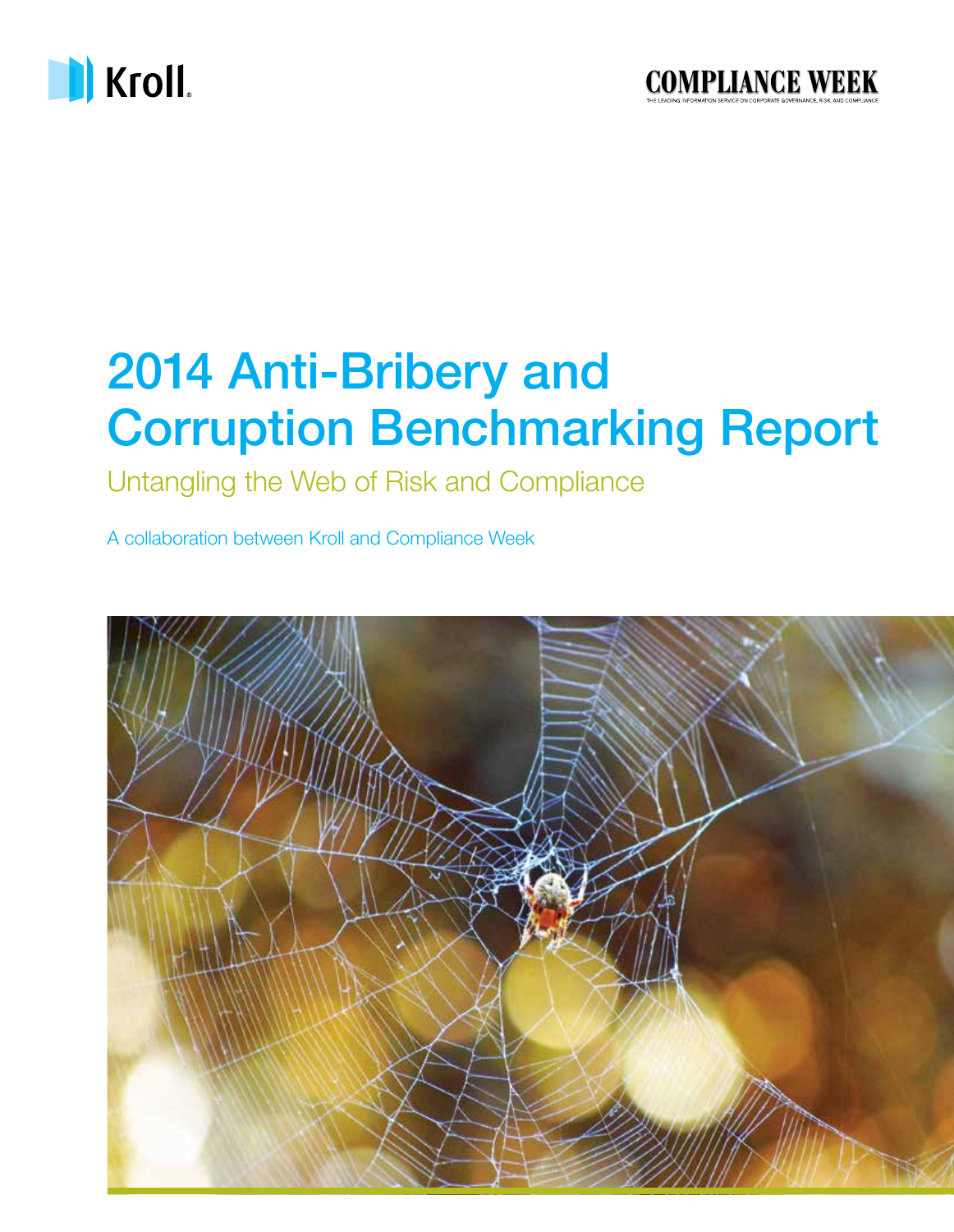

## 2014 Anti-Bribery and Corruption Benchmarking Report

Untangling the Web of Risk and Compliance

A collaboration between Kroll and Compliance Week

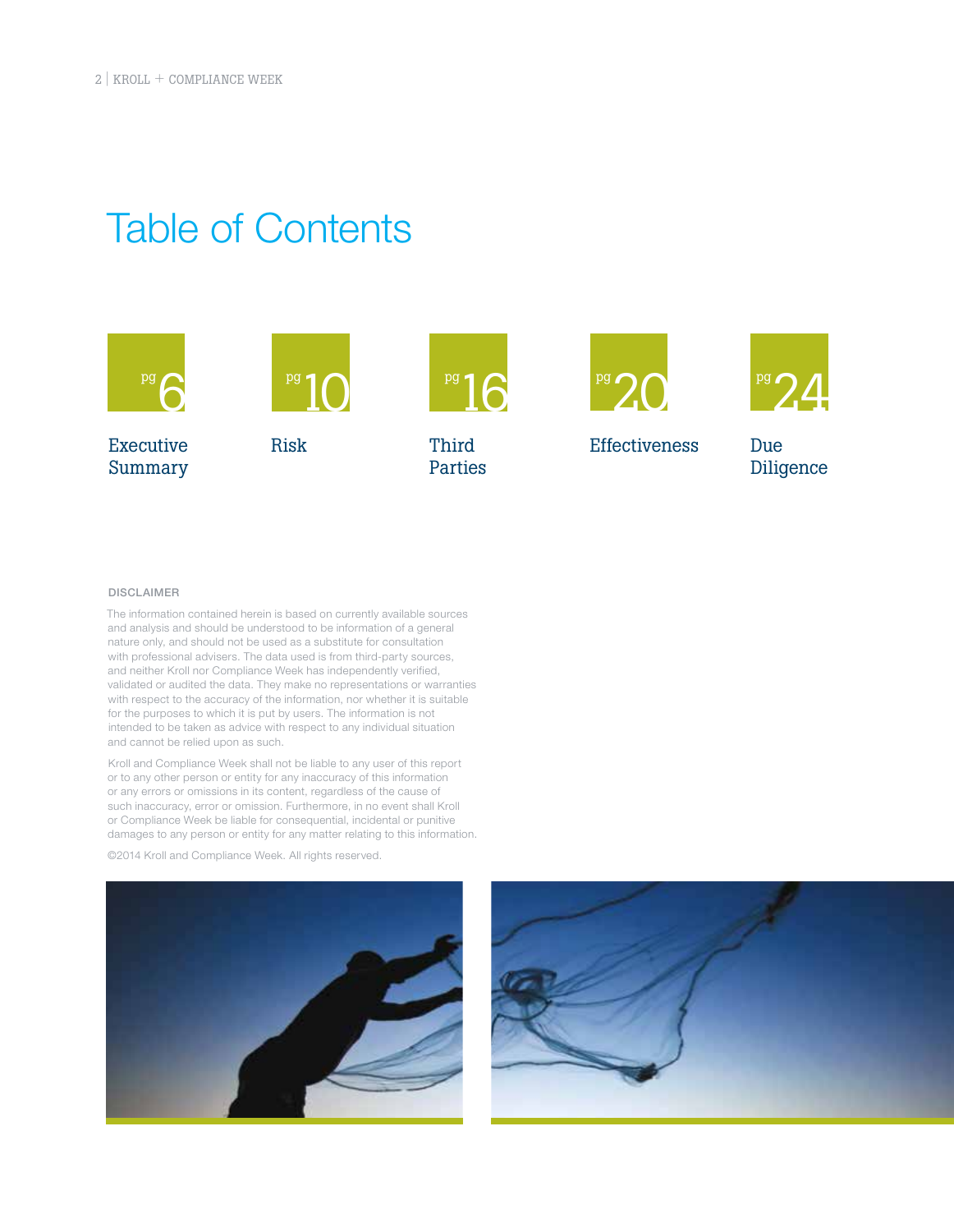## Table of Contents



DISCLAIMER

The information contained herein is based on currently available sources and analysis and should be understood to be information of a general nature only, and should not be used as a substitute for consultation with professional advisers. The data used is from third-party sources, and neither Kroll nor Compliance Week has independently verified, validated or audited the data. They make no representations or warranties with respect to the accuracy of the information, nor whether it is suitable for the purposes to which it is put by users. The information is not intended to be taken as advice with respect to any individual situation and cannot be relied upon as such.

Kroll and Compliance Week shall not be liable to any user of this report or to any other person or entity for any inaccuracy of this information or any errors or omissions in its content, regardless of the cause of such inaccuracy, error or omission. Furthermore, in no event shall Kroll or Compliance Week be liable for consequential, incidental or punitive damages to any person or entity for any matter relating to this information.

©2014 Kroll and Compliance Week. All rights reserved.



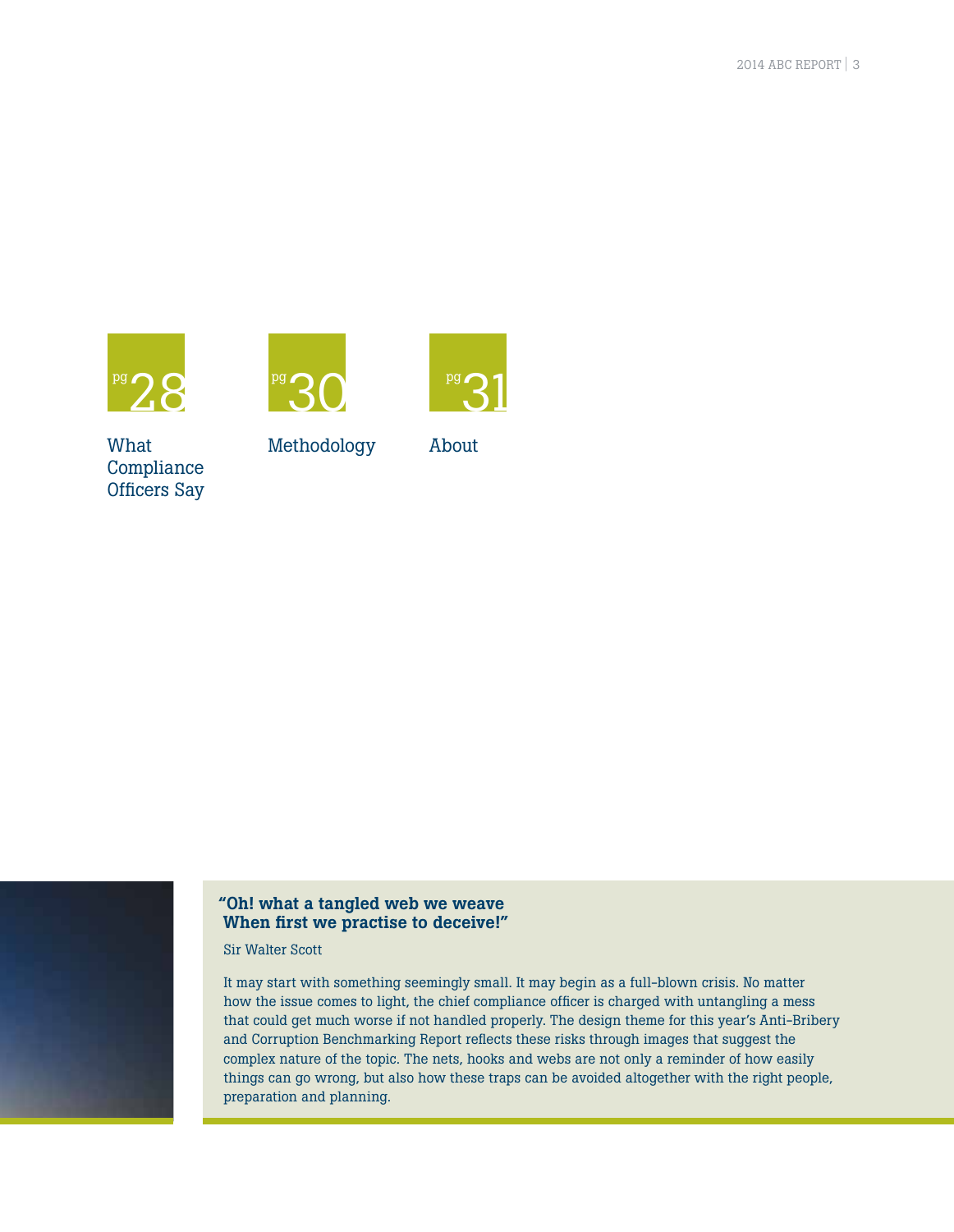





What Compliance Officers Say

Methodology

About



#### "Oh! what a tangled web we weave When first we practise to deceive!"

Sir Walter Scott

It may start with something seemingly small. It may begin as a full-blown crisis. No matter how the issue comes to light, the chief compliance officer is charged with untangling a mess that could get much worse if not handled properly. The design theme for this year's Anti-Bribery and Corruption Benchmarking Report reflects these risks through images that suggest the complex nature of the topic. The nets, hooks and webs are not only a reminder of how easily things can go wrong, but also how these traps can be avoided altogether with the right people, preparation and planning.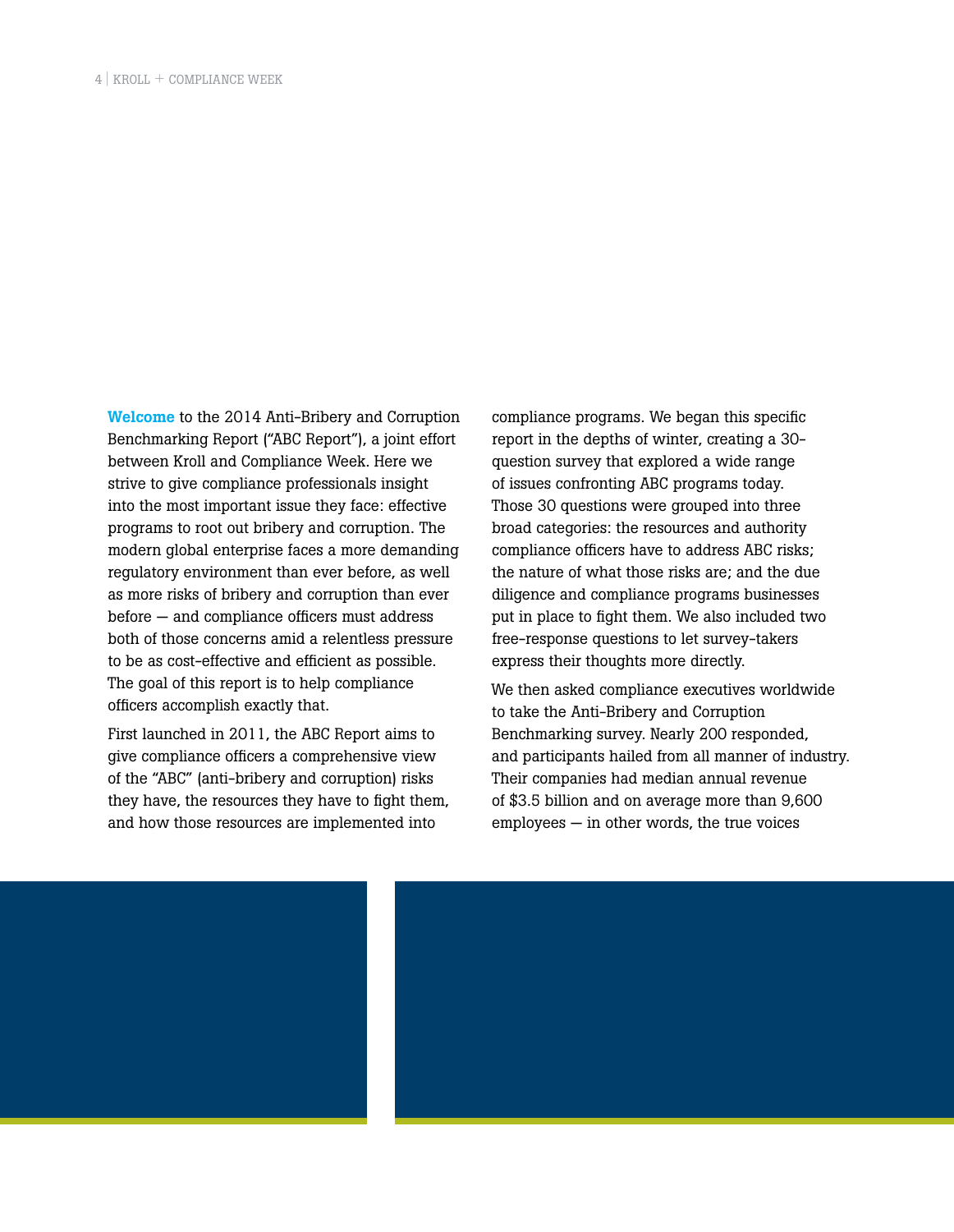Welcome to the 2014 Anti-Bribery and Corruption Benchmarking Report ("ABC Report"), a joint effort between Kroll and Compliance Week. Here we strive to give compliance professionals insight into the most important issue they face: effective programs to root out bribery and corruption. The modern global enterprise faces a more demanding regulatory environment than ever before, as well as more risks of bribery and corruption than ever before — and compliance officers must address both of those concerns amid a relentless pressure to be as cost-effective and efficient as possible. The goal of this report is to help compliance officers accomplish exactly that.

First launched in 2011, the ABC Report aims to give compliance officers a comprehensive view of the "ABC" (anti-bribery and corruption) risks they have, the resources they have to fight them, and how those resources are implemented into

compliance programs. We began this specific report in the depths of winter, creating a 30 question survey that explored a wide range of issues confronting ABC programs today. Those 30 questions were grouped into three broad categories: the resources and authority compliance officers have to address ABC risks; the nature of what those risks are; and the due diligence and compliance programs businesses put in place to fight them. We also included two free-response questions to let survey-takers express their thoughts more directly.

We then asked compliance executives worldwide to take the Anti-Bribery and Corruption Benchmarking survey. Nearly 200 responded, and participants hailed from all manner of industry. Their companies had median annual revenue of \$3.5 billion and on average more than 9,600 employees — in other words, the true voices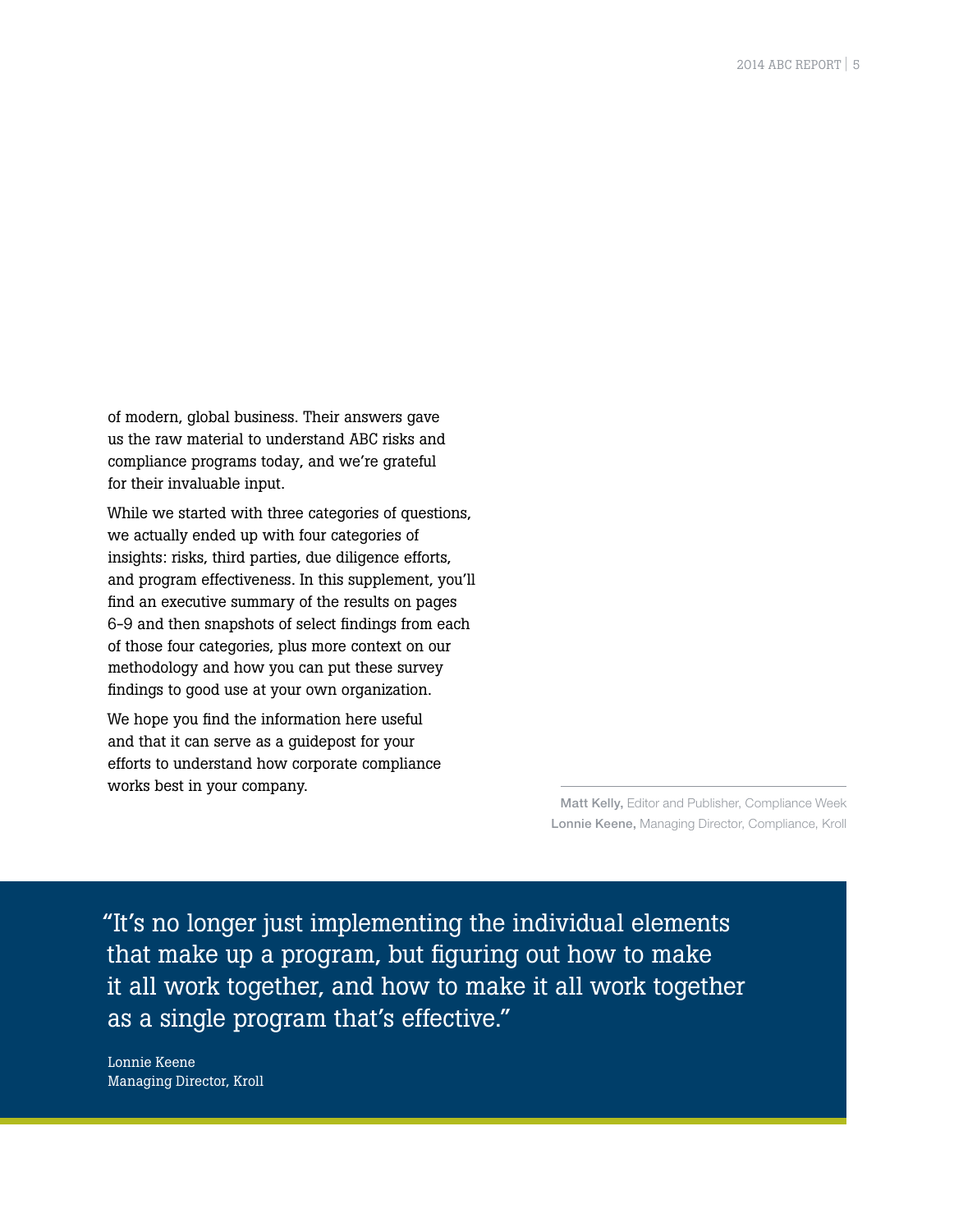of modern, global business. Their answers gave us the raw material to understand ABC risks and compliance programs today, and we're grateful for their invaluable input.

While we started with three categories of questions, we actually ended up with four categories of insights: risks, third parties, due diligence efforts, and program effectiveness. In this supplement, you'll find an executive summary of the results on pages 6-9 and then snapshots of select findings from each of those four categories, plus more context on our methodology and how you can put these survey findings to good use at your own organization.

We hope you find the information here useful and that it can serve as a guidepost for your efforts to understand how corporate compliance works best in your company.

> Matt Kelly, Editor and Publisher, Compliance Week Lonnie Keene, Managing Director, Compliance, Kroll

"It's no longer just implementing the individual elements that make up a program, but figuring out how to make it all work together, and how to make it all work together as a single program that's effective."

Lonnie Keene Managing Director, Kroll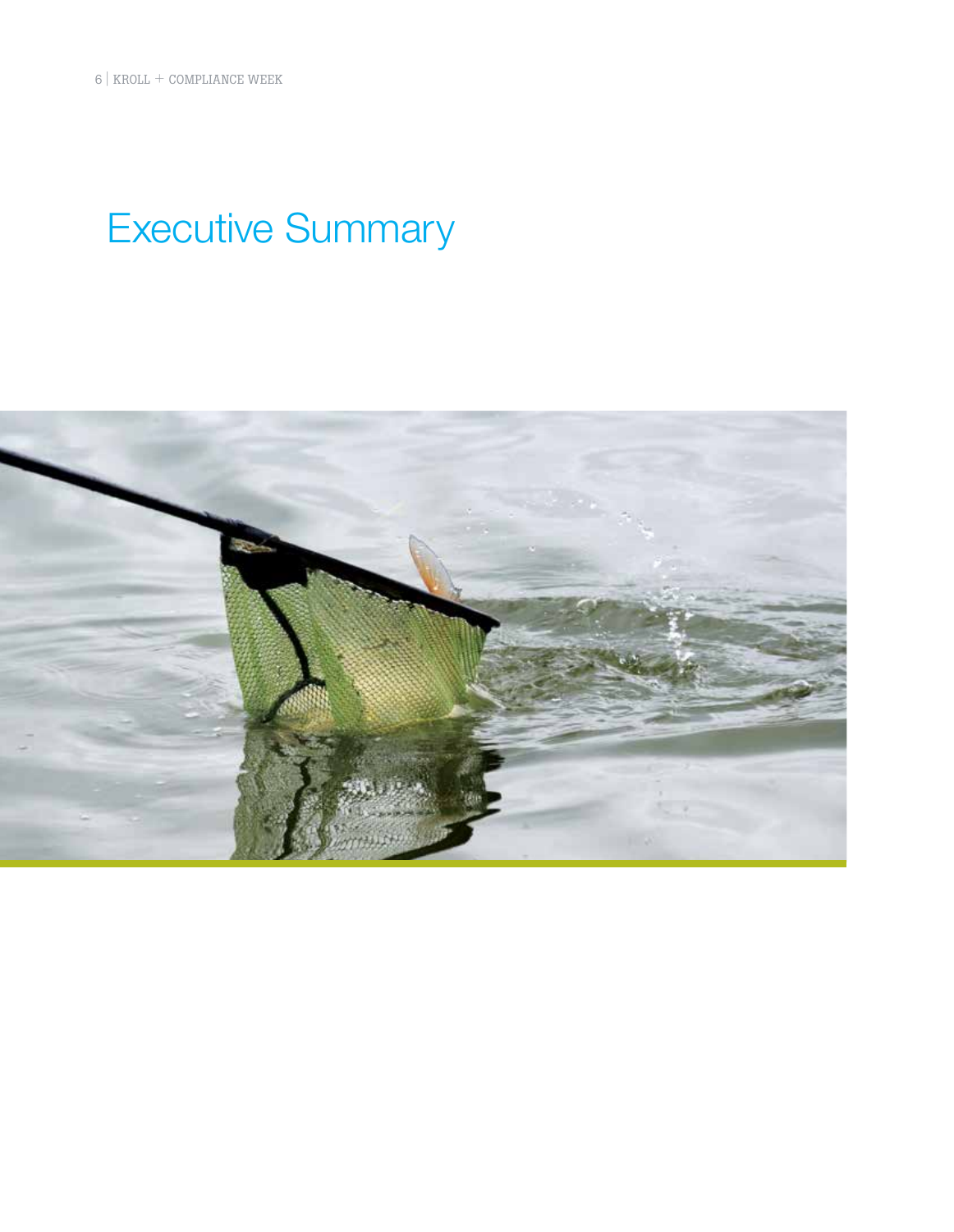## Executive Summary

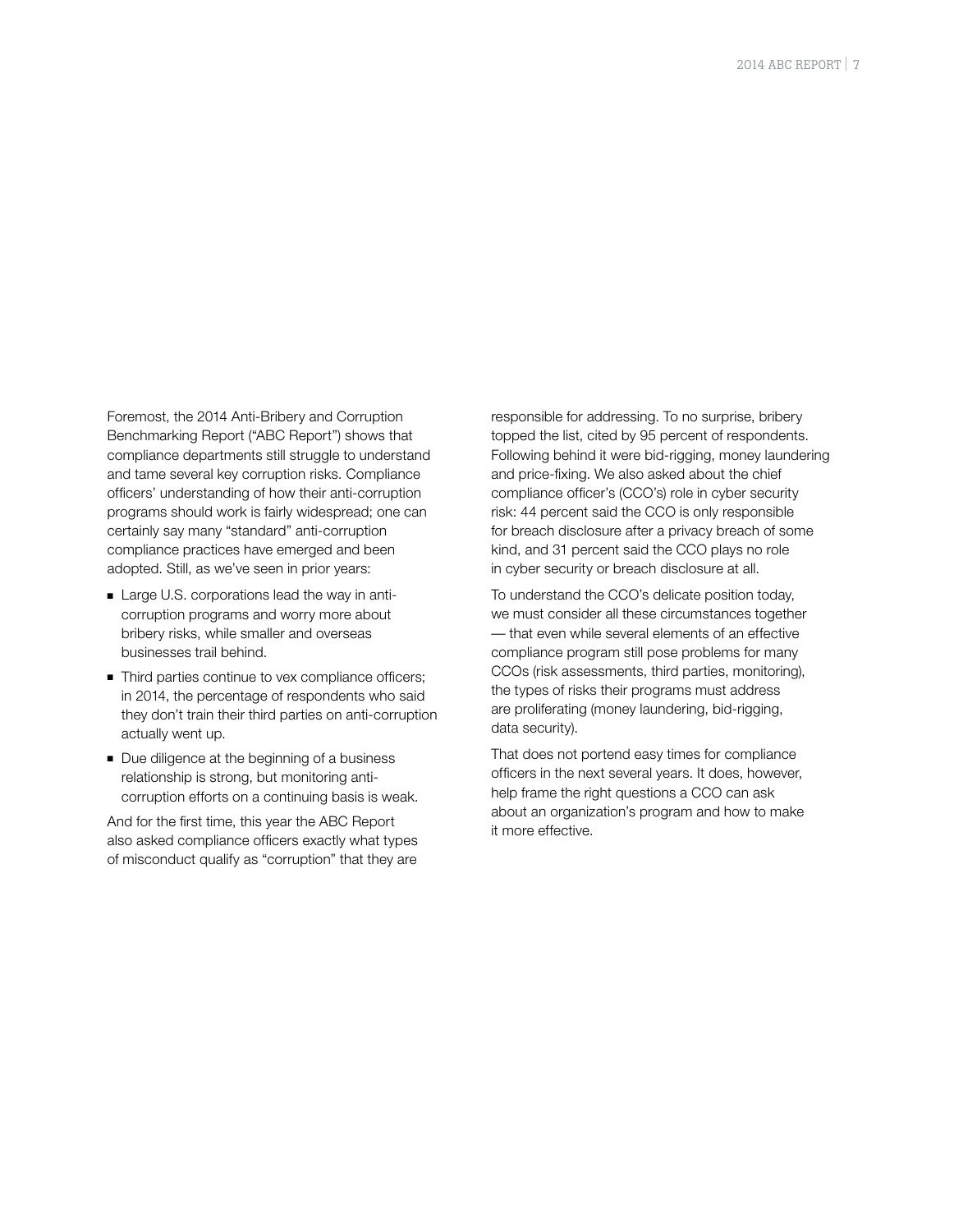Foremost, the 2014 Anti-Bribery and Corruption Benchmarking Report ("ABC Report") shows that compliance departments still struggle to understand and tame several key corruption risks. Compliance officers' understanding of how their anti-corruption programs should work is fairly widespread; one can certainly say many "standard" anti-corruption compliance practices have emerged and been adopted. Still, as we've seen in prior years:

- Large U.S. corporations lead the way in anticorruption programs and worry more about bribery risks, while smaller and overseas businesses trail behind.
- Third parties continue to vex compliance officers; in 2014, the percentage of respondents who said they don't train their third parties on anti-corruption actually went up.
- Due diligence at the beginning of a business relationship is strong, but monitoring anticorruption efforts on a continuing basis is weak.

And for the first time, this year the ABC Report also asked compliance officers exactly what types of misconduct qualify as "corruption" that they are

responsible for addressing. To no surprise, bribery topped the list, cited by 95 percent of respondents. Following behind it were bid-rigging, money laundering and price-fixing. We also asked about the chief compliance officer's (CCO's) role in cyber security risk: 44 percent said the CCO is only responsible for breach disclosure after a privacy breach of some kind, and 31 percent said the CCO plays no role in cyber security or breach disclosure at all.

To understand the CCO's delicate position today, we must consider all these circumstances together — that even while several elements of an effective compliance program still pose problems for many CCOs (risk assessments, third parties, monitoring), the types of risks their programs must address are proliferating (money laundering, bid-rigging, data security).

That does not portend easy times for compliance officers in the next several years. It does, however, help frame the right questions a CCO can ask about an organization's program and how to make it more effective.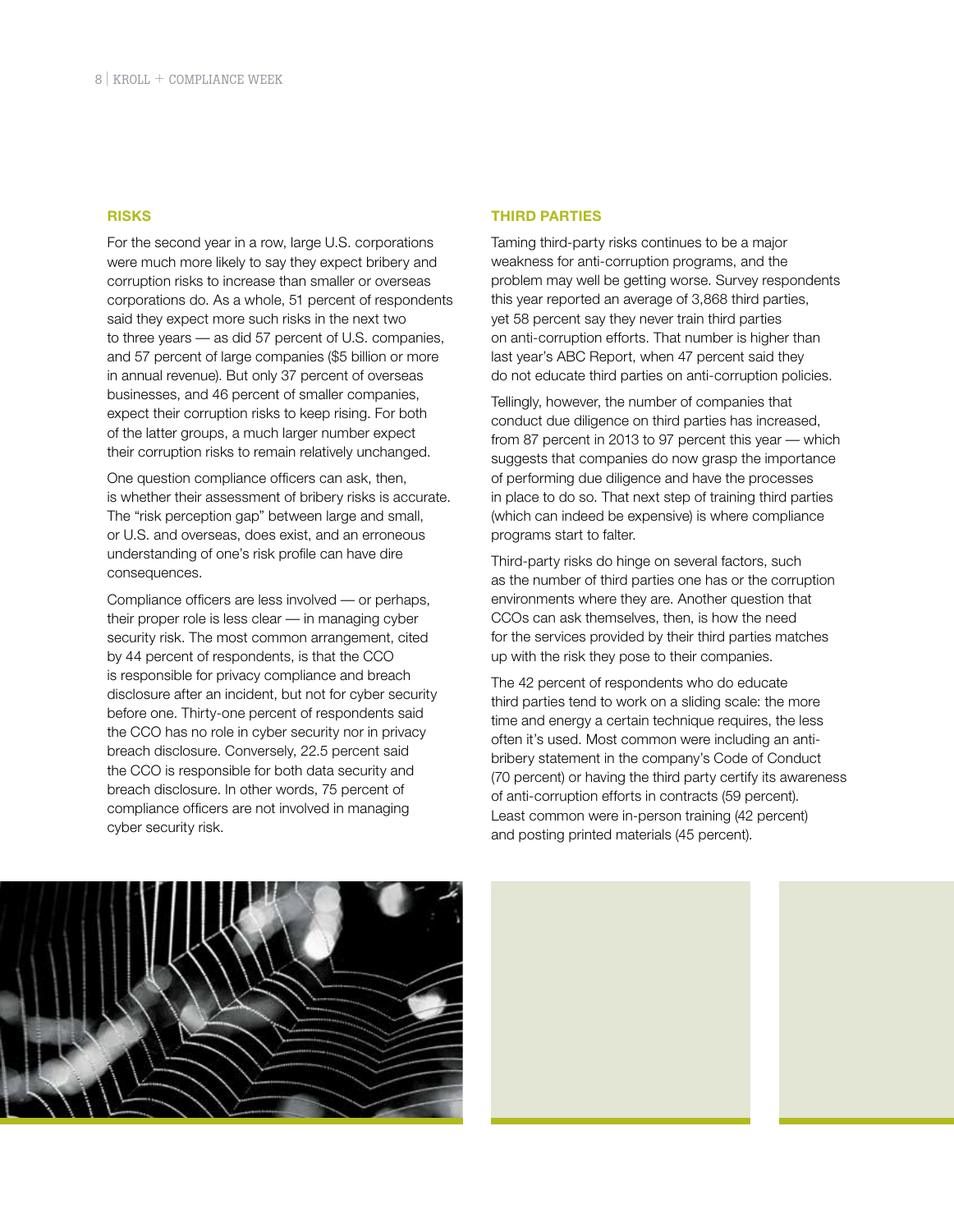#### **RISKS**

For the second year in a row, large U.S. corporations were much more likely to say they expect bribery and corruption risks to increase than smaller or overseas corporations do. As a whole, 51 percent of respondents said they expect more such risks in the next two to three years — as did 57 percent of U.S. companies, and 57 percent of large companies (\$5 billion or more in annual revenue). But only 37 percent of overseas businesses, and 46 percent of smaller companies, expect their corruption risks to keep rising. For both of the latter groups, a much larger number expect their corruption risks to remain relatively unchanged.

One question compliance officers can ask, then, is whether their assessment of bribery risks is accurate. The "risk perception gap" between large and small, or U.S. and overseas, does exist, and an erroneous understanding of one's risk profile can have dire consequences.

Compliance officers are less involved — or perhaps, their proper role is less clear — in managing cyber security risk. The most common arrangement, cited by 44 percent of respondents, is that the CCO is responsible for privacy compliance and breach disclosure after an incident, but not for cyber security before one. Thirty-one percent of respondents said the CCO has no role in cyber security nor in privacy breach disclosure. Conversely, 22.5 percent said the CCO is responsible for both data security and breach disclosure. In other words, 75 percent of compliance officers are not involved in managing cyber security risk.

#### **THIRD PARTIES**

Taming third-party risks continues to be a major weakness for anti-corruption programs, and the problem may well be getting worse. Survey respondents this year reported an average of 3,868 third parties, yet 58 percent say they never train third parties on anti-corruption efforts. That number is higher than last year's ABC Report, when 47 percent said they do not educate third parties on anti-corruption policies.

Tellingly, however, the number of companies that conduct due diligence on third parties has increased, from 87 percent in 2013 to 97 percent this year — which suggests that companies do now grasp the importance of performing due diligence and have the processes in place to do so. That next step of training third parties (which can indeed be expensive) is where compliance programs start to falter.

Third-party risks do hinge on several factors, such as the number of third parties one has or the corruption environments where they are. Another question that CCOs can ask themselves, then, is how the need for the services provided by their third parties matches up with the risk they pose to their companies.

The 42 percent of respondents who do educate third parties tend to work on a sliding scale: the more time and energy a certain technique requires, the less often it's used. Most common were including an antibribery statement in the company's Code of Conduct (70 percent) or having the third party certify its awareness of anti-corruption efforts in contracts (59 percent). Least common were in-person training (42 percent) and posting printed materials (45 percent).

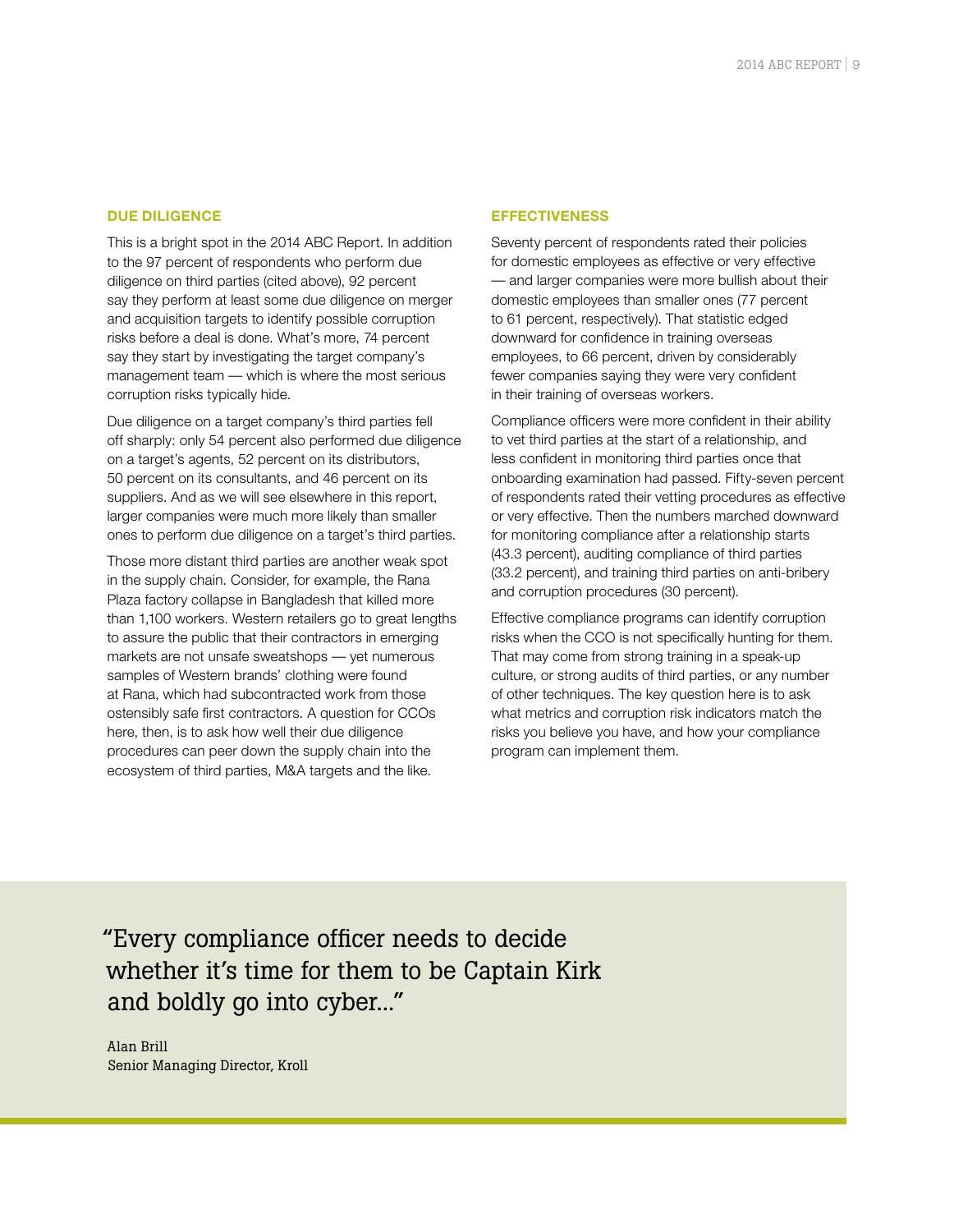#### **DUE DILIGENCE**

This is a bright spot in the 2014 ABC Report. In addition to the 97 percent of respondents who perform due diligence on third parties (cited above), 92 percent say they perform at least some due diligence on merger and acquisition targets to identify possible corruption risks before a deal is done. What's more, 74 percent say they start by investigating the target company's management team — which is where the most serious corruption risks typically hide.

Due diligence on a target company's third parties fell off sharply: only 54 percent also performed due diligence on a target's agents, 52 percent on its distributors, 50 percent on its consultants, and 46 percent on its suppliers. And as we will see elsewhere in this report, larger companies were much more likely than smaller ones to perform due diligence on a target's third parties.

Those more distant third parties are another weak spot in the supply chain. Consider, for example, the Rana Plaza factory collapse in Bangladesh that killed more than 1,100 workers. Western retailers go to great lengths to assure the public that their contractors in emerging markets are not unsafe sweatshops — yet numerous samples of Western brands' clothing were found at Rana, which had subcontracted work from those ostensibly safe first contractors. A question for CCOs here, then, is to ask how well their due diligence procedures can peer down the supply chain into the ecosystem of third parties, M&A targets and the like.

#### **EFFECTIVENESS**

Seventy percent of respondents rated their policies for domestic employees as effective or very effective — and larger companies were more bullish about their domestic employees than smaller ones (77 percent to 61 percent, respectively). That statistic edged downward for confidence in training overseas employees, to 66 percent, driven by considerably fewer companies saying they were very confident in their training of overseas workers.

Compliance officers were more confident in their ability to vet third parties at the start of a relationship, and less confident in monitoring third parties once that onboarding examination had passed. Fifty-seven percent of respondents rated their vetting procedures as effective or very effective. Then the numbers marched downward for monitoring compliance after a relationship starts (43.3 percent), auditing compliance of third parties (33.2 percent), and training third parties on anti-bribery and corruption procedures (30 percent).

Effective compliance programs can identify corruption risks when the CCO is not specifically hunting for them. That may come from strong training in a speak-up culture, or strong audits of third parties, or any number of other techniques. The key question here is to ask what metrics and corruption risk indicators match the risks you believe you have, and how your compliance program can implement them.

"Every compliance officer needs to decide whether it's time for them to be Captain Kirk and boldly go into cyber..."

Alan Brill Senior Managing Director, Kroll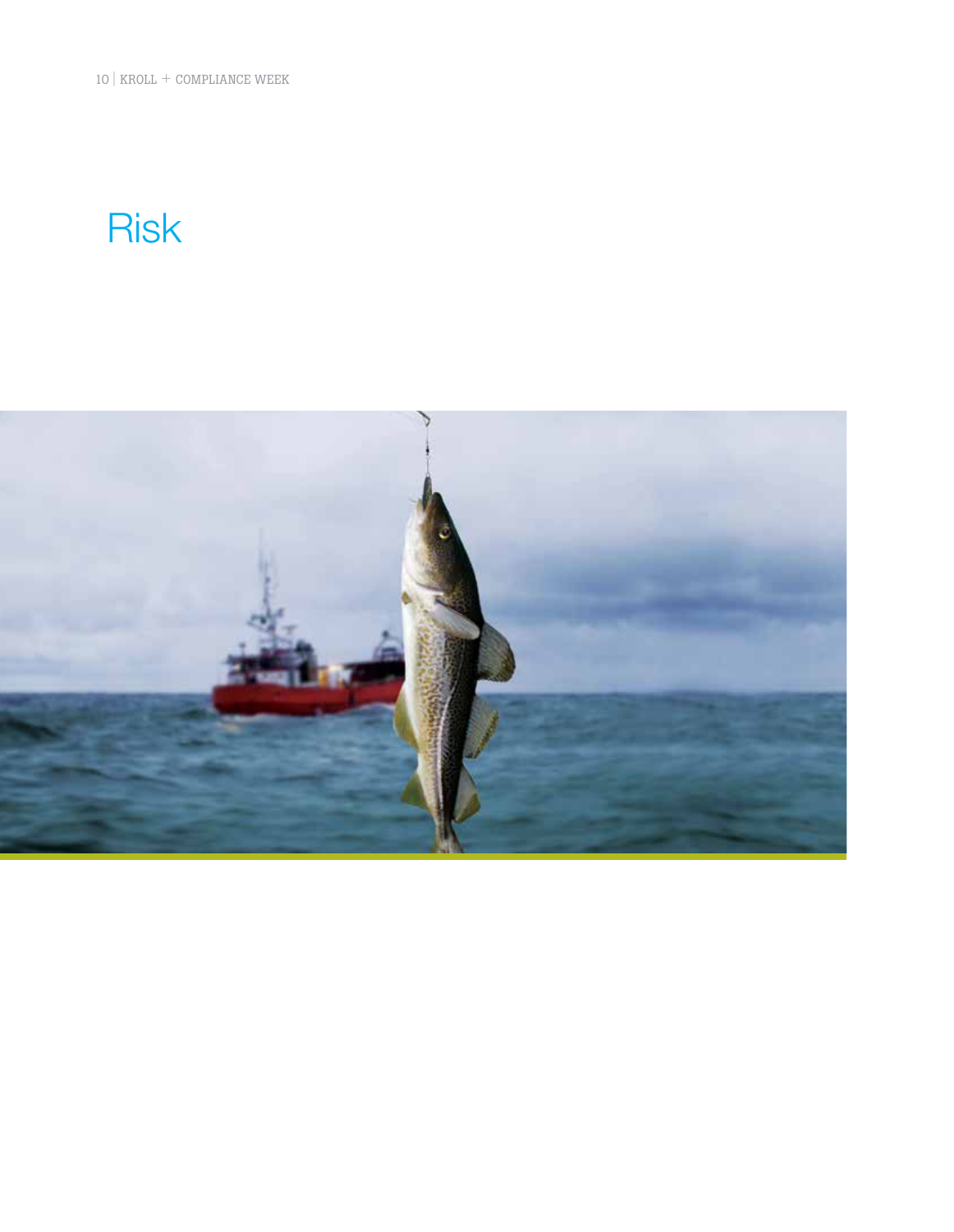10 | KROLL + COMPLIANCE WEEK

## Risk

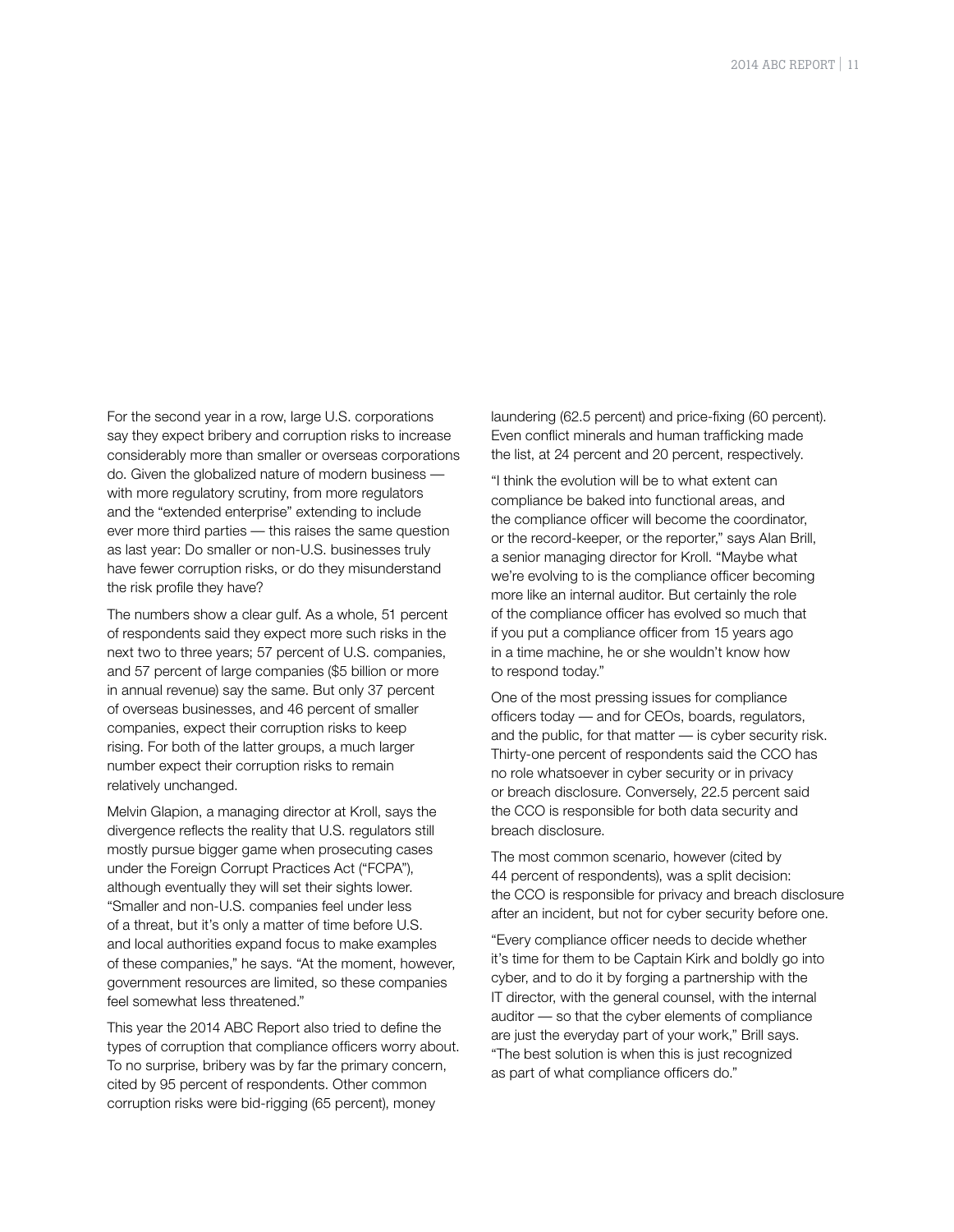For the second year in a row, large U.S. corporations say they expect bribery and corruption risks to increase considerably more than smaller or overseas corporations do. Given the globalized nature of modern business with more regulatory scrutiny, from more regulators and the "extended enterprise" extending to include ever more third parties — this raises the same question as last year: Do smaller or non-U.S. businesses truly have fewer corruption risks, or do they misunderstand the risk profile they have?

The numbers show a clear gulf. As a whole, 51 percent of respondents said they expect more such risks in the next two to three years; 57 percent of U.S. companies, and 57 percent of large companies (\$5 billion or more in annual revenue) say the same. But only 37 percent of overseas businesses, and 46 percent of smaller companies, expect their corruption risks to keep rising. For both of the latter groups, a much larger number expect their corruption risks to remain relatively unchanged.

Melvin Glapion, a managing director at Kroll, says the divergence reflects the reality that U.S. regulators still mostly pursue bigger game when prosecuting cases under the Foreign Corrupt Practices Act ("FCPA"), although eventually they will set their sights lower. "Smaller and non-U.S. companies feel under less of a threat, but it's only a matter of time before U.S. and local authorities expand focus to make examples of these companies," he says. "At the moment, however, government resources are limited, so these companies feel somewhat less threatened."

This year the 2014 ABC Report also tried to define the types of corruption that compliance officers worry about. To no surprise, bribery was by far the primary concern, cited by 95 percent of respondents. Other common corruption risks were bid-rigging (65 percent), money

laundering (62.5 percent) and price-fixing (60 percent). Even conflict minerals and human trafficking made the list, at 24 percent and 20 percent, respectively.

"I think the evolution will be to what extent can compliance be baked into functional areas, and the compliance officer will become the coordinator, or the record-keeper, or the reporter," says Alan Brill, a senior managing director for Kroll. "Maybe what we're evolving to is the compliance officer becoming more like an internal auditor. But certainly the role of the compliance officer has evolved so much that if you put a compliance officer from 15 years ago in a time machine, he or she wouldn't know how to respond today."

One of the most pressing issues for compliance officers today — and for CEOs, boards, regulators, and the public, for that matter — is cyber security risk. Thirty-one percent of respondents said the CCO has no role whatsoever in cyber security or in privacy or breach disclosure. Conversely, 22.5 percent said the CCO is responsible for both data security and breach disclosure.

The most common scenario, however (cited by 44 percent of respondents), was a split decision: the CCO is responsible for privacy and breach disclosure after an incident, but not for cyber security before one.

"Every compliance officer needs to decide whether it's time for them to be Captain Kirk and boldly go into cyber, and to do it by forging a partnership with the IT director, with the general counsel, with the internal auditor — so that the cyber elements of compliance are just the everyday part of your work," Brill says. "The best solution is when this is just recognized as part of what compliance officers do."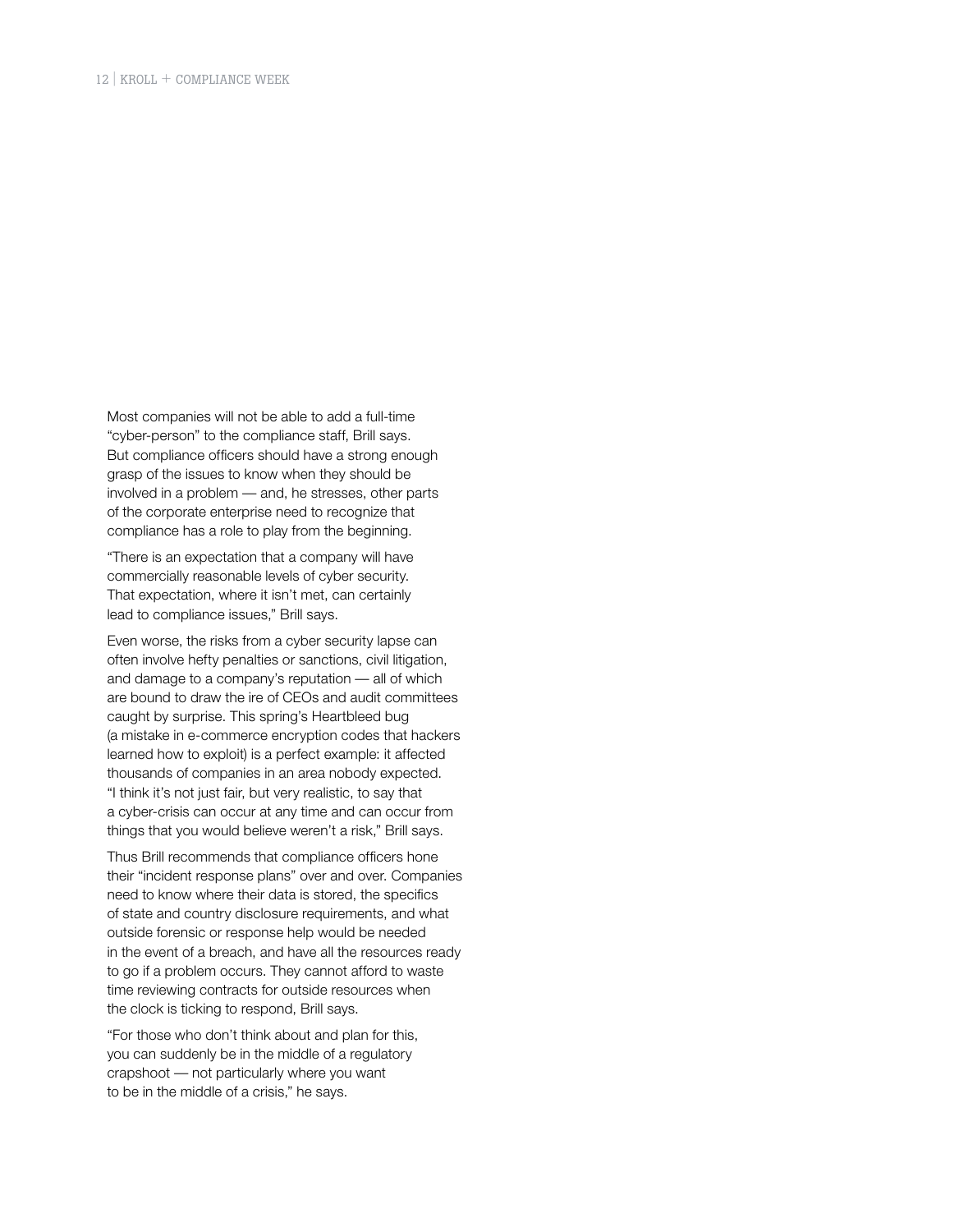Most companies will not be able to add a full-time "cyber-person" to the compliance staff, Brill says. But compliance officers should have a strong enough grasp of the issues to know when they should be involved in a problem — and, he stresses, other parts of the corporate enterprise need to recognize that compliance has a role to play from the beginning.

"There is an expectation that a company will have commercially reasonable levels of cyber security. That expectation, where it isn't met, can certainly lead to compliance issues," Brill says.

Even worse, the risks from a cyber security lapse can often involve hefty penalties or sanctions, civil litigation, and damage to a company's reputation — all of which are bound to draw the ire of CEOs and audit committees caught by surprise. This spring's Heartbleed bug (a mistake in e-commerce encryption codes that hackers learned how to exploit) is a perfect example: it affected thousands of companies in an area nobody expected. "I think it's not just fair, but very realistic, to say that a cyber-crisis can occur at any time and can occur from things that you would believe weren't a risk," Brill says.

Thus Brill recommends that compliance officers hone their "incident response plans" over and over. Companies need to know where their data is stored, the specifics of state and country disclosure requirements, and what outside forensic or response help would be needed in the event of a breach, and have all the resources ready to go if a problem occurs. They cannot afford to waste time reviewing contracts for outside resources when the clock is ticking to respond, Brill says.

"For those who don't think about and plan for this, you can suddenly be in the middle of a regulatory crapshoot — not particularly where you want to be in the middle of a crisis," he says.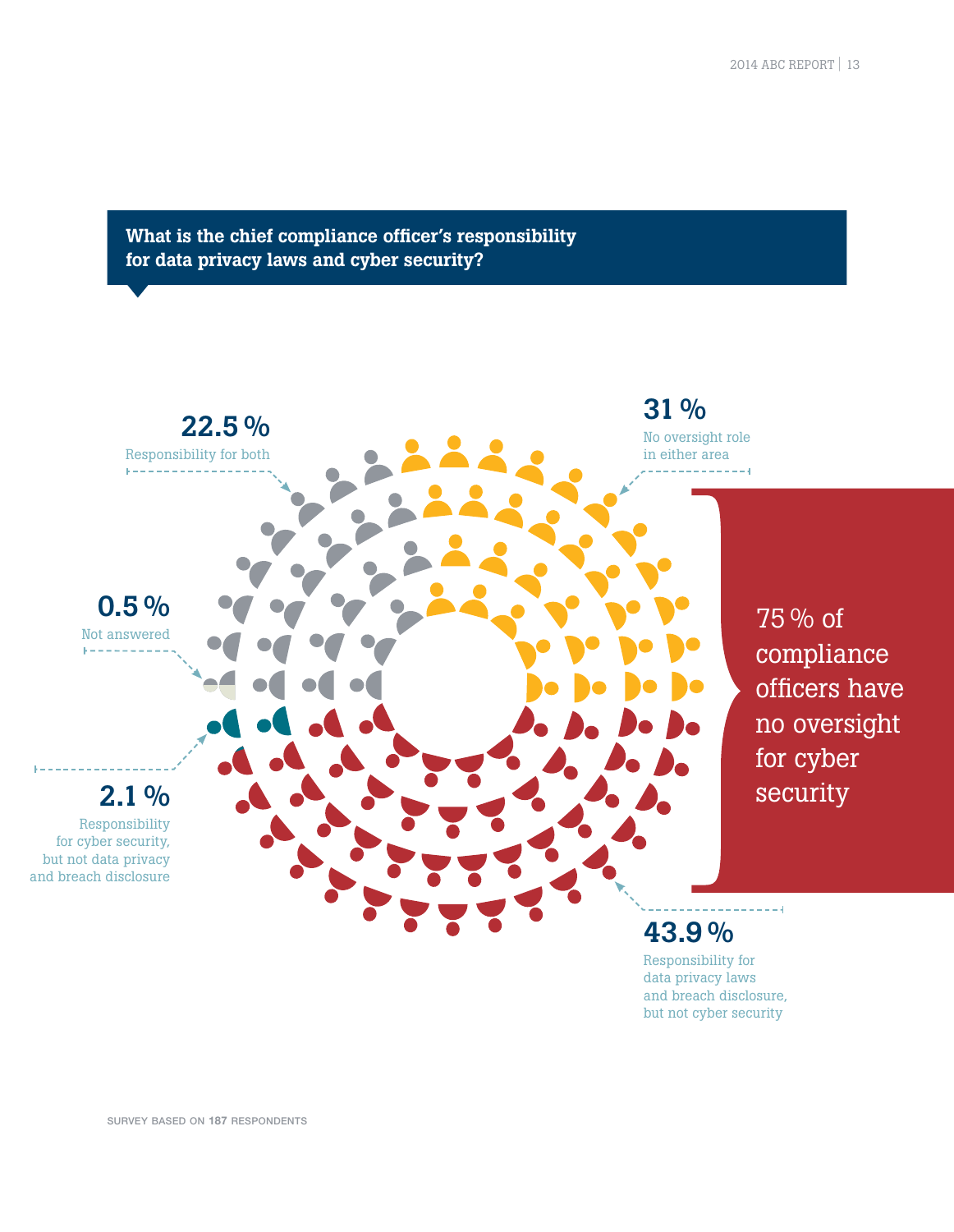#### What is the chief compliance officer's responsibility for data privacy laws and cyber security?



survey based on **187** respondents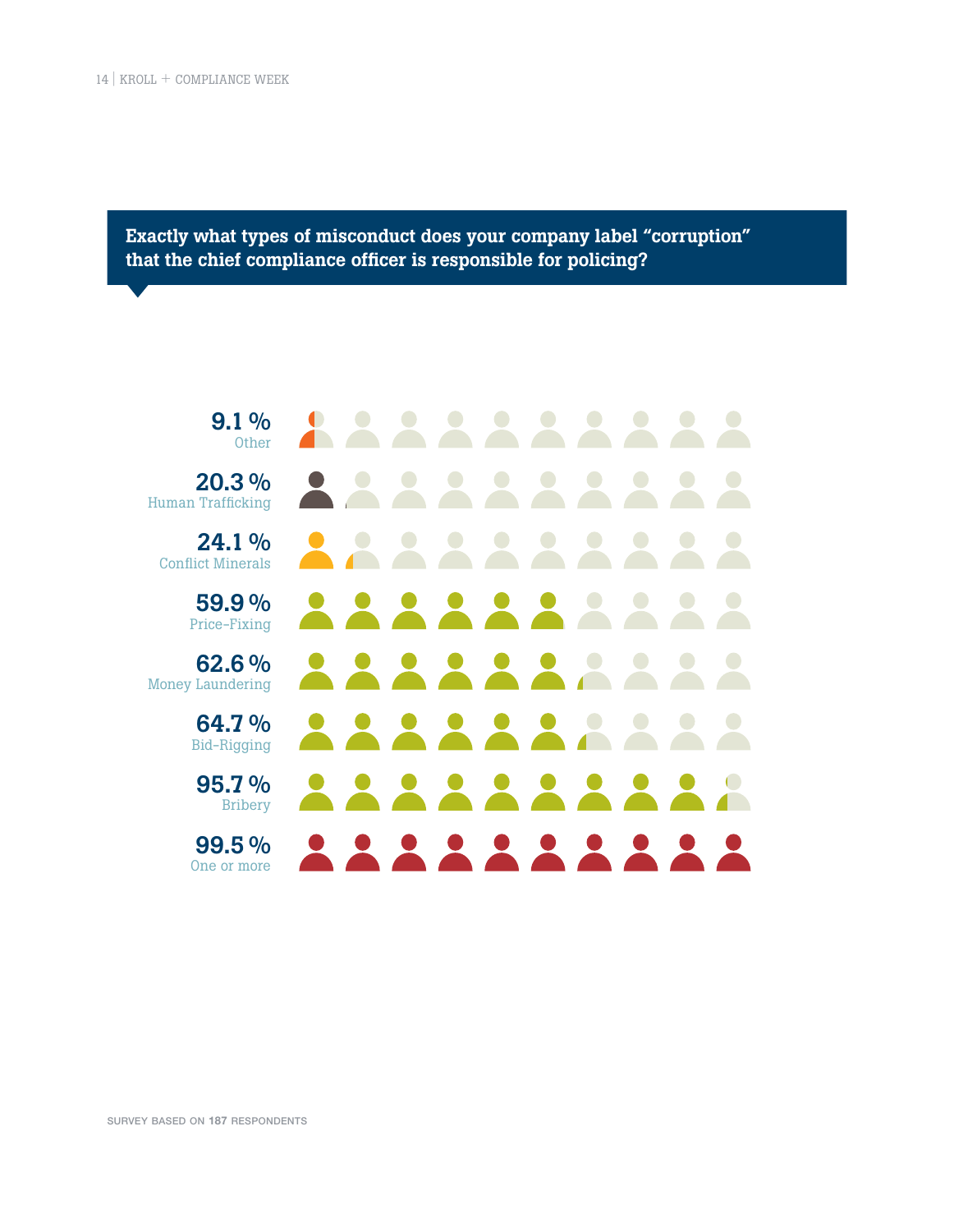Exactly what types of misconduct does your company label "corruption" that the chief compliance officer is responsible for policing?



survey based on **187** respondents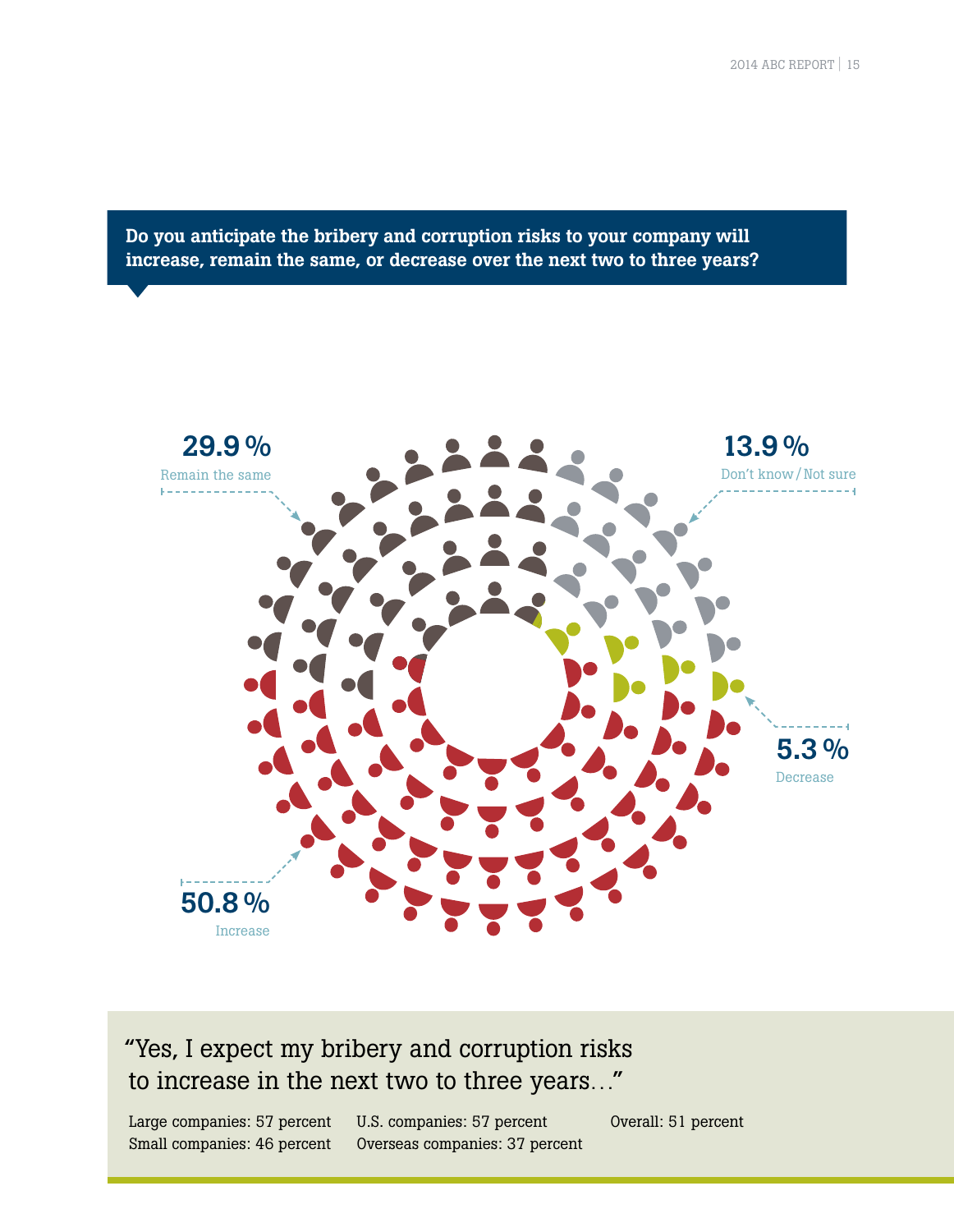Do you anticipate the bribery and corruption risks to your company will increase, remain the same, or decrease over the next two to three years?



#### "Yes, I expect my bribery and corruption risks to increase in the next two to three years…"

Large companies: 57 percent Small companies: 46 percent

U.S. companies: 57 percent Overseas companies: 37 percent Overall: 51 percent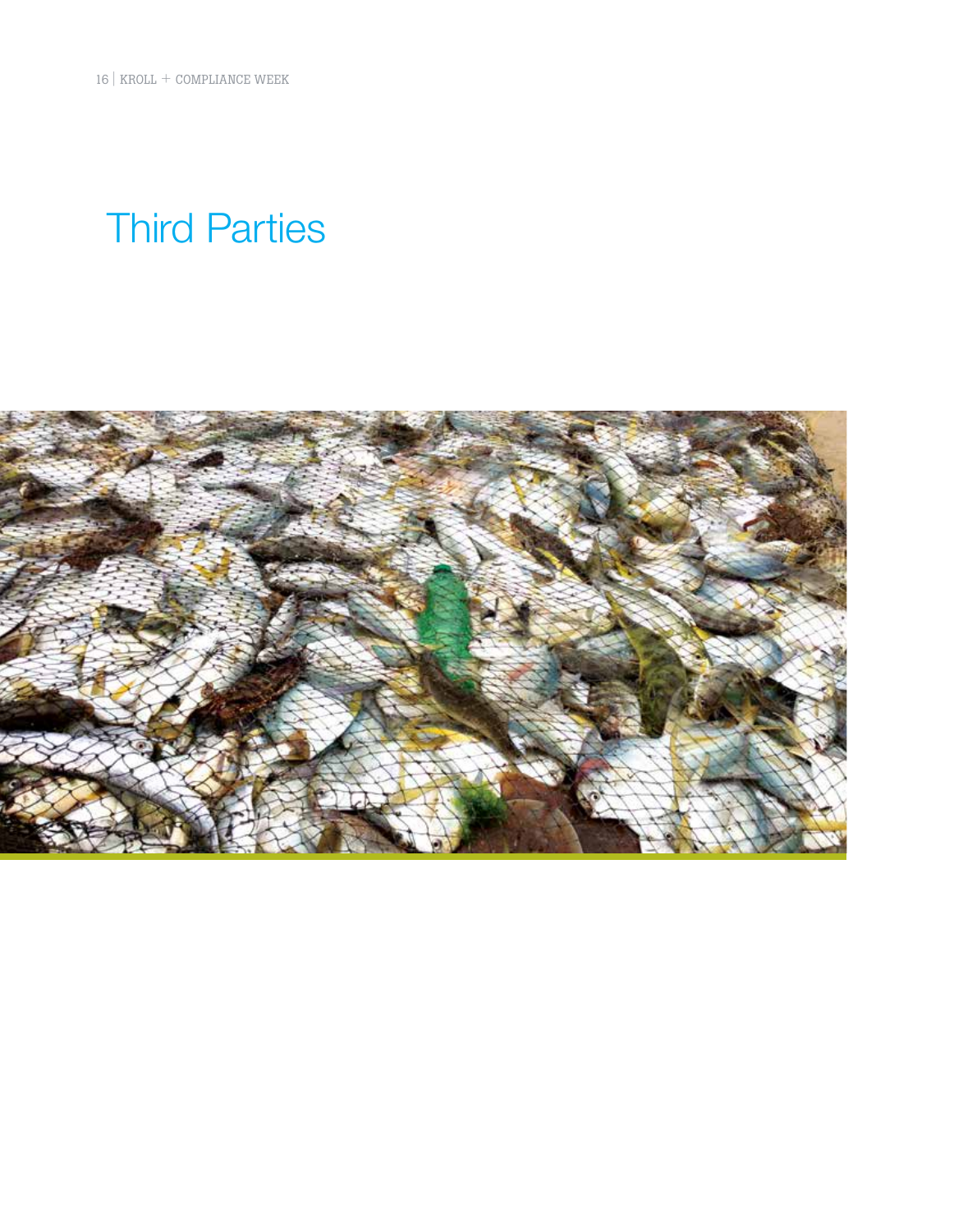16 | KROLL + COMPLIANCE WEEK

## Third Parties

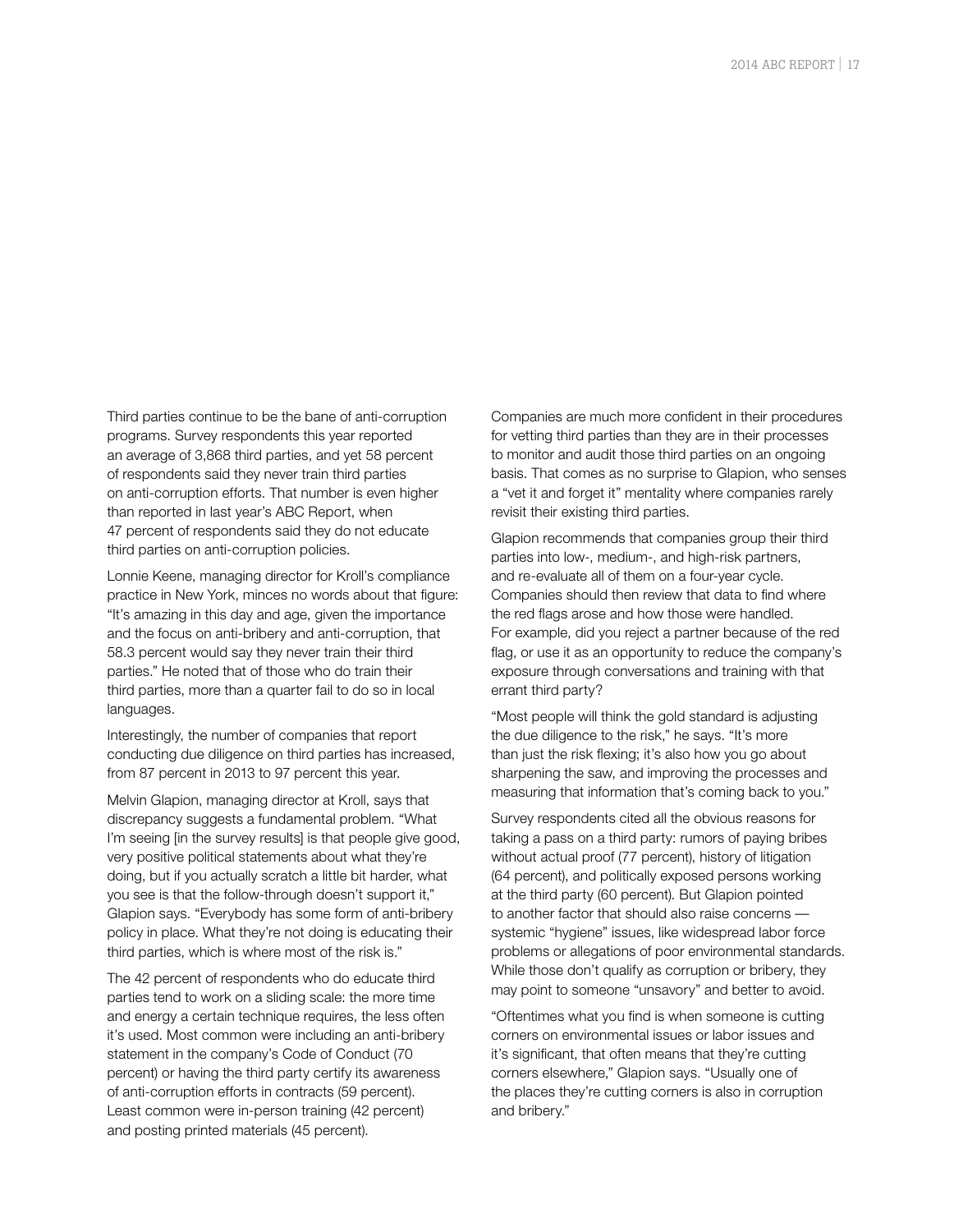Third parties continue to be the bane of anti-corruption programs. Survey respondents this year reported an average of 3,868 third parties, and yet 58 percent of respondents said they never train third parties on anti-corruption efforts. That number is even higher than reported in last year's ABC Report, when 47 percent of respondents said they do not educate third parties on anti-corruption policies.

Lonnie Keene, managing director for Kroll's compliance practice in New York, minces no words about that figure: "It's amazing in this day and age, given the importance and the focus on anti-bribery and anti-corruption, that 58.3 percent would say they never train their third parties." He noted that of those who do train their third parties, more than a quarter fail to do so in local languages.

Interestingly, the number of companies that report conducting due diligence on third parties has increased, from 87 percent in 2013 to 97 percent this year.

Melvin Glapion, managing director at Kroll, says that discrepancy suggests a fundamental problem. "What I'm seeing [in the survey results] is that people give good, very positive political statements about what they're doing, but if you actually scratch a little bit harder, what you see is that the follow-through doesn't support it," Glapion says. "Everybody has some form of anti-bribery policy in place. What they're not doing is educating their third parties, which is where most of the risk is."

The 42 percent of respondents who do educate third parties tend to work on a sliding scale: the more time and energy a certain technique requires, the less often it's used. Most common were including an anti-bribery statement in the company's Code of Conduct (70 percent) or having the third party certify its awareness of anti-corruption efforts in contracts (59 percent). Least common were in-person training (42 percent) and posting printed materials (45 percent).

Companies are much more confident in their procedures for vetting third parties than they are in their processes to monitor and audit those third parties on an ongoing basis. That comes as no surprise to Glapion, who senses a "vet it and forget it" mentality where companies rarely revisit their existing third parties.

Glapion recommends that companies group their third parties into low-, medium-, and high-risk partners, and re-evaluate all of them on a four-year cycle. Companies should then review that data to find where the red flags arose and how those were handled. For example, did you reject a partner because of the red flag, or use it as an opportunity to reduce the company's exposure through conversations and training with that errant third party?

"Most people will think the gold standard is adjusting the due diligence to the risk," he says. "It's more than just the risk flexing; it's also how you go about sharpening the saw, and improving the processes and measuring that information that's coming back to you."

Survey respondents cited all the obvious reasons for taking a pass on a third party: rumors of paying bribes without actual proof (77 percent), history of litigation (64 percent), and politically exposed persons working at the third party (60 percent). But Glapion pointed to another factor that should also raise concerns systemic "hygiene" issues, like widespread labor force problems or allegations of poor environmental standards. While those don't qualify as corruption or bribery, they may point to someone "unsavory" and better to avoid.

"Oftentimes what you find is when someone is cutting corners on environmental issues or labor issues and it's significant, that often means that they're cutting corners elsewhere," Glapion says. "Usually one of the places they're cutting corners is also in corruption and bribery."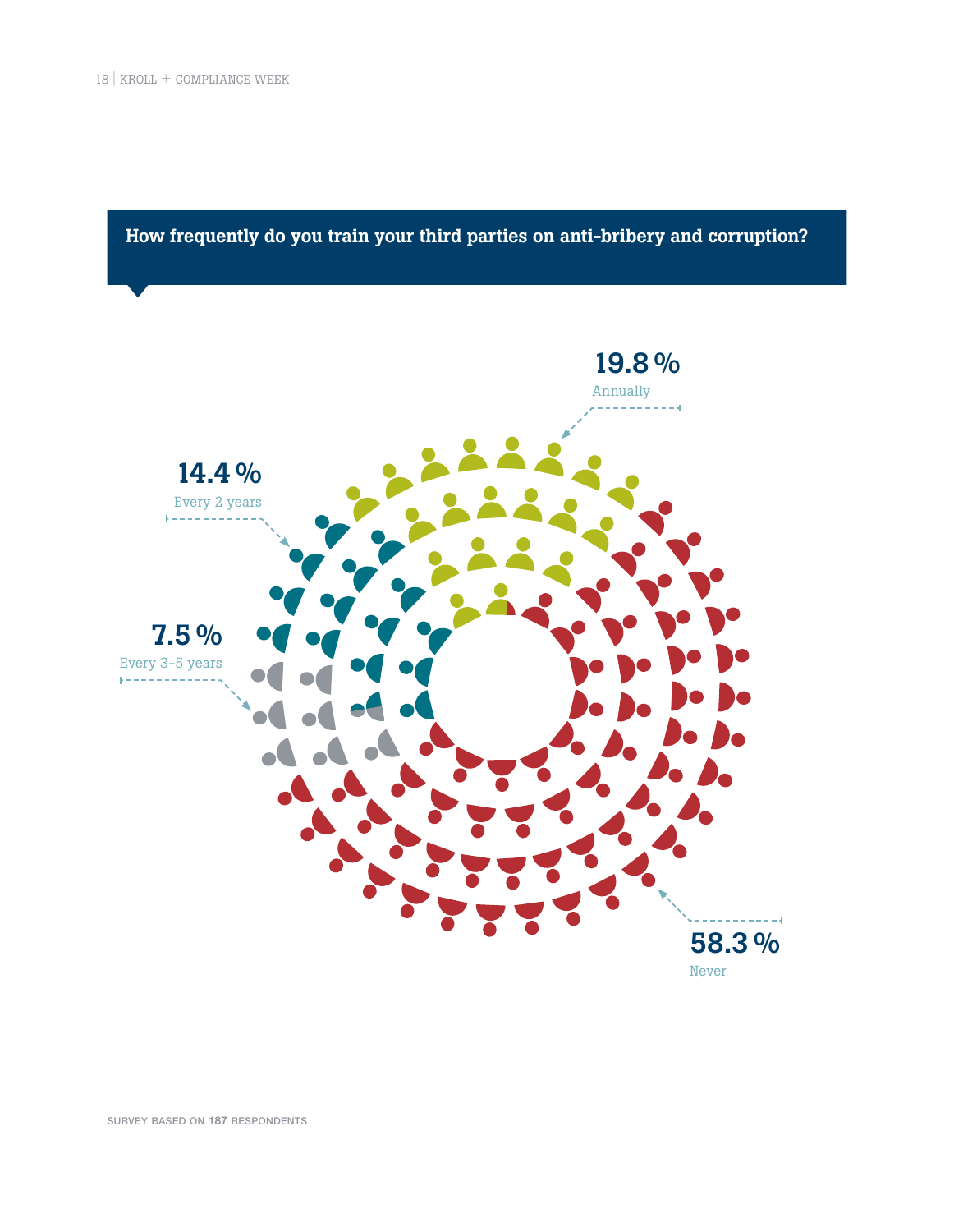How frequently do you train your third parties on anti-bribery and corruption?



survey based on **187** respondents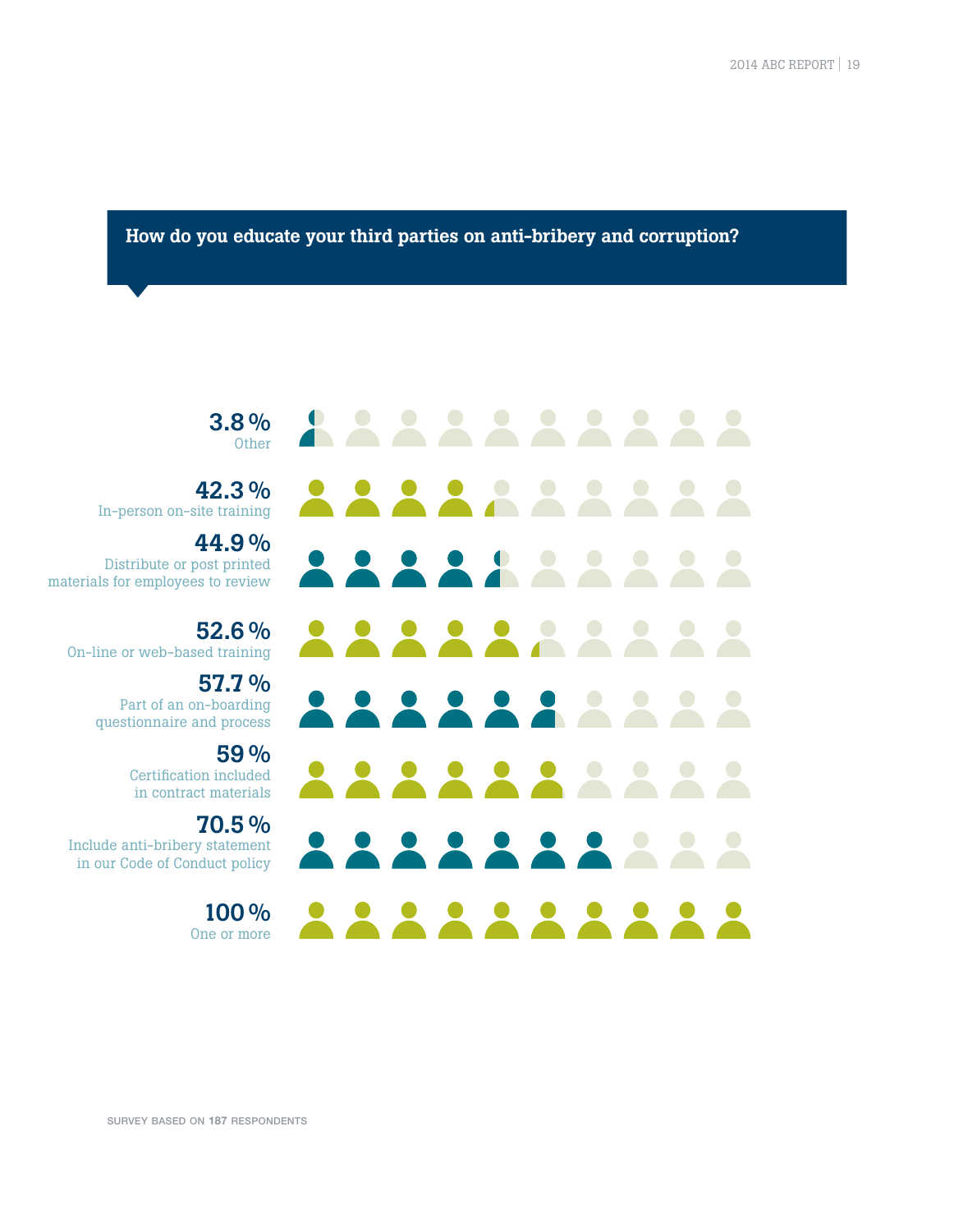2014 ABC REPORT | 19

How do you educate your third parties on anti-bribery and corruption?

3.8 % Other

42.3 % In-person on-site training

44.9 % Distribute or post printed materials for employees to review

52.6 % On-line or web-based training

> 57.7 % Part of an on-boarding questionnaire and process

> > 59 % Certification included in contract materials

70.5 % Include anti-bribery statement in our Code of Conduct policy

> $100\%$ One or more

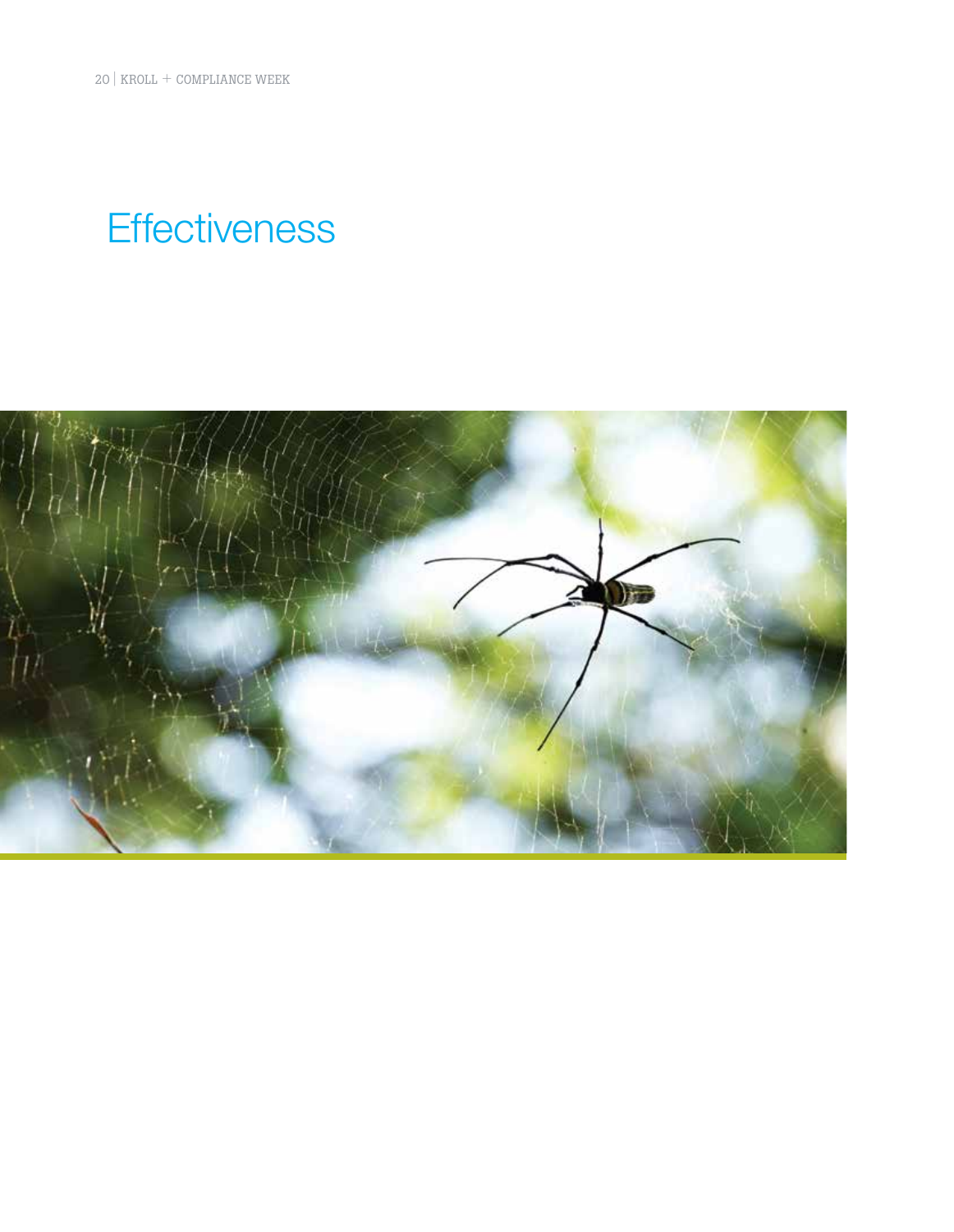20 | KROLL + COMPLIANCE WEEK

## **Effectiveness**

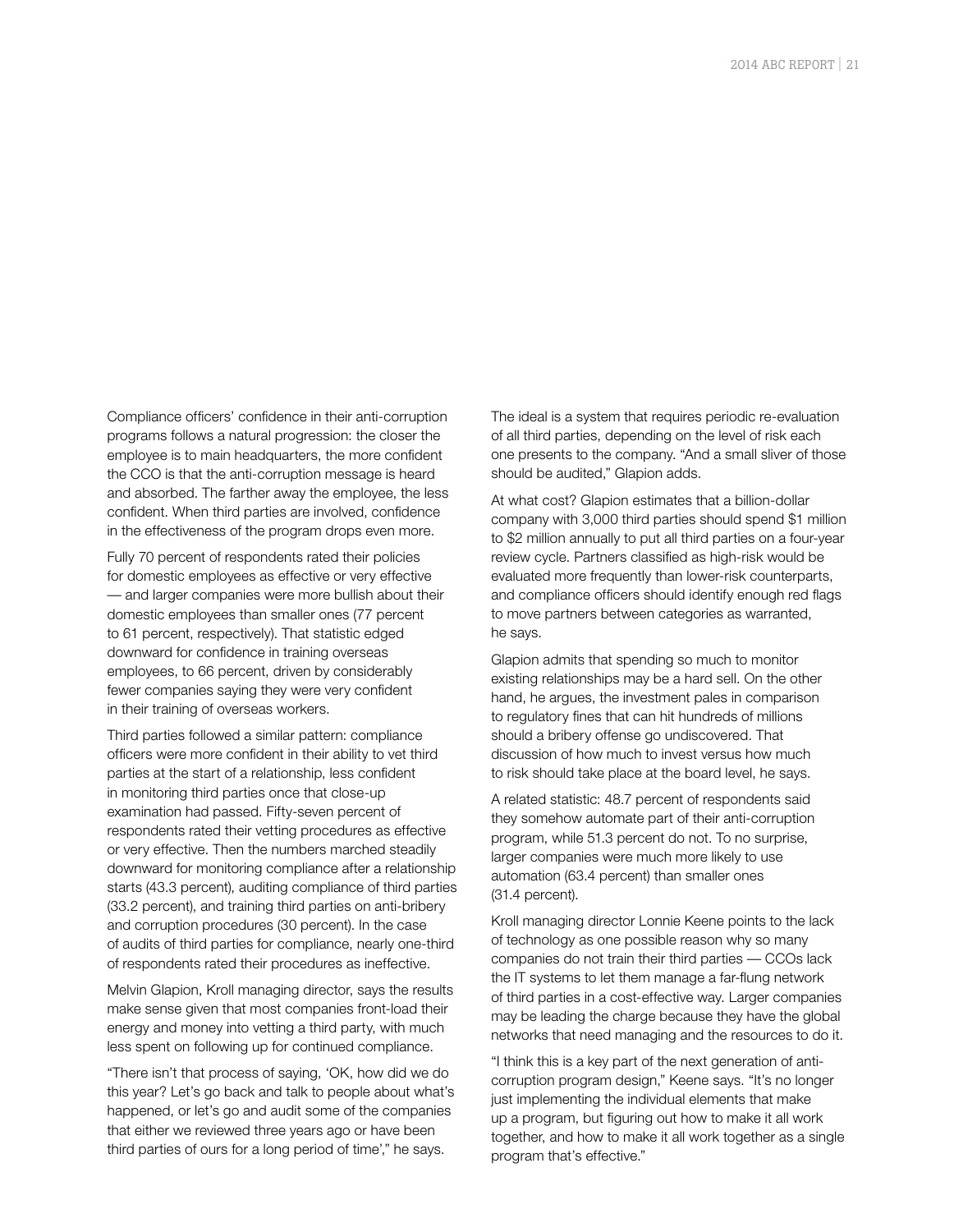Compliance officers' confidence in their anti-corruption programs follows a natural progression: the closer the employee is to main headquarters, the more confident the CCO is that the anti-corruption message is heard and absorbed. The farther away the employee, the less confident. When third parties are involved, confidence in the effectiveness of the program drops even more.

Fully 70 percent of respondents rated their policies for domestic employees as effective or very effective — and larger companies were more bullish about their domestic employees than smaller ones (77 percent to 61 percent, respectively). That statistic edged downward for confidence in training overseas employees, to 66 percent, driven by considerably fewer companies saying they were very confident in their training of overseas workers.

Third parties followed a similar pattern: compliance officers were more confident in their ability to vet third parties at the start of a relationship, less confident in monitoring third parties once that close-up examination had passed. Fifty-seven percent of respondents rated their vetting procedures as effective or very effective. Then the numbers marched steadily downward for monitoring compliance after a relationship starts (43.3 percent), auditing compliance of third parties (33.2 percent), and training third parties on anti-bribery and corruption procedures (30 percent). In the case of audits of third parties for compliance, nearly one-third of respondents rated their procedures as ineffective.

Melvin Glapion, Kroll managing director, says the results make sense given that most companies front-load their energy and money into vetting a third party, with much less spent on following up for continued compliance.

"There isn't that process of saying, 'OK, how did we do this year? Let's go back and talk to people about what's happened, or let's go and audit some of the companies that either we reviewed three years ago or have been third parties of ours for a long period of time'," he says.

The ideal is a system that requires periodic re-evaluation of all third parties, depending on the level of risk each one presents to the company. "And a small sliver of those should be audited," Glapion adds.

At what cost? Glapion estimates that a billion-dollar company with 3,000 third parties should spend \$1 million to \$2 million annually to put all third parties on a four-year review cycle. Partners classified as high-risk would be evaluated more frequently than lower-risk counterparts, and compliance officers should identify enough red flags to move partners between categories as warranted, he says.

Glapion admits that spending so much to monitor existing relationships may be a hard sell. On the other hand, he argues, the investment pales in comparison to regulatory fines that can hit hundreds of millions should a bribery offense go undiscovered. That discussion of how much to invest versus how much to risk should take place at the board level, he says.

A related statistic: 48.7 percent of respondents said they somehow automate part of their anti-corruption program, while 51.3 percent do not. To no surprise, larger companies were much more likely to use automation (63.4 percent) than smaller ones (31.4 percent).

Kroll managing director Lonnie Keene points to the lack of technology as one possible reason why so many companies do not train their third parties — CCOs lack the IT systems to let them manage a far-flung network of third parties in a cost-effective way. Larger companies may be leading the charge because they have the global networks that need managing and the resources to do it.

"I think this is a key part of the next generation of anticorruption program design," Keene says. "It's no longer just implementing the individual elements that make up a program, but figuring out how to make it all work together, and how to make it all work together as a single program that's effective."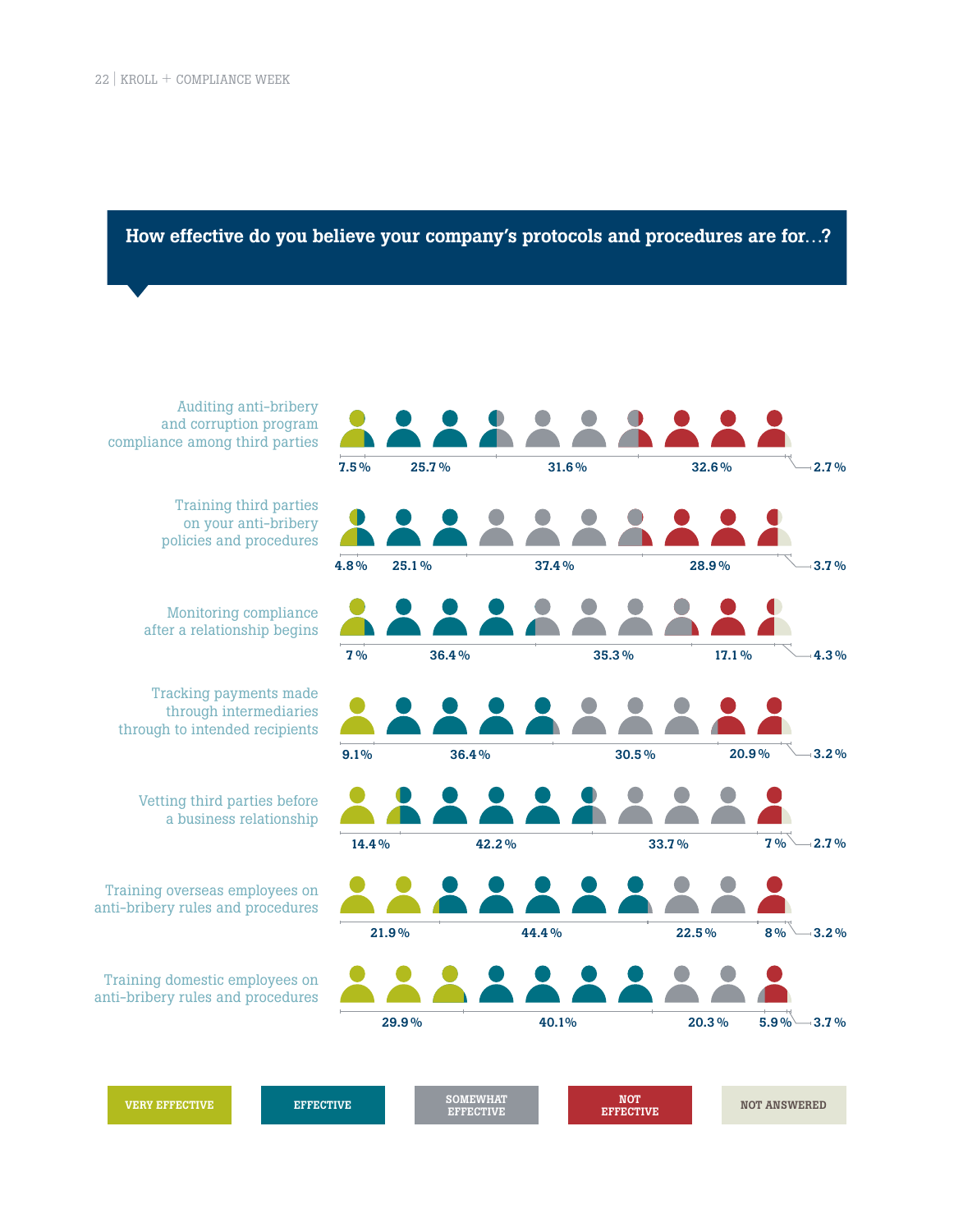#### How effective do you believe your company's protocols and procedures are for…?

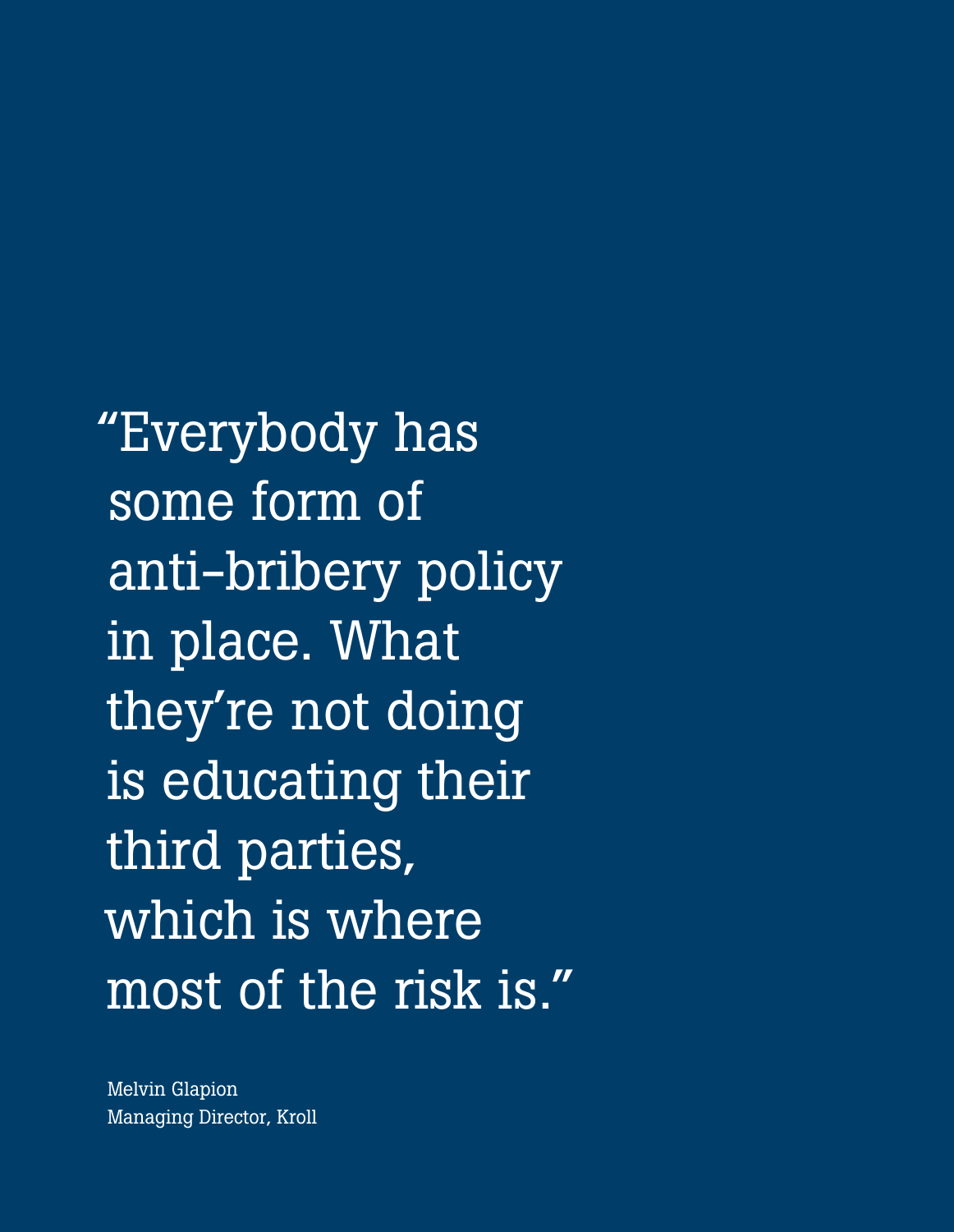"Everybody has some form of anti-bribery policy in place. What they're not doing is educating their third parties, which is where most of the risk is."

Melvin Glapion Managing Director, Kroll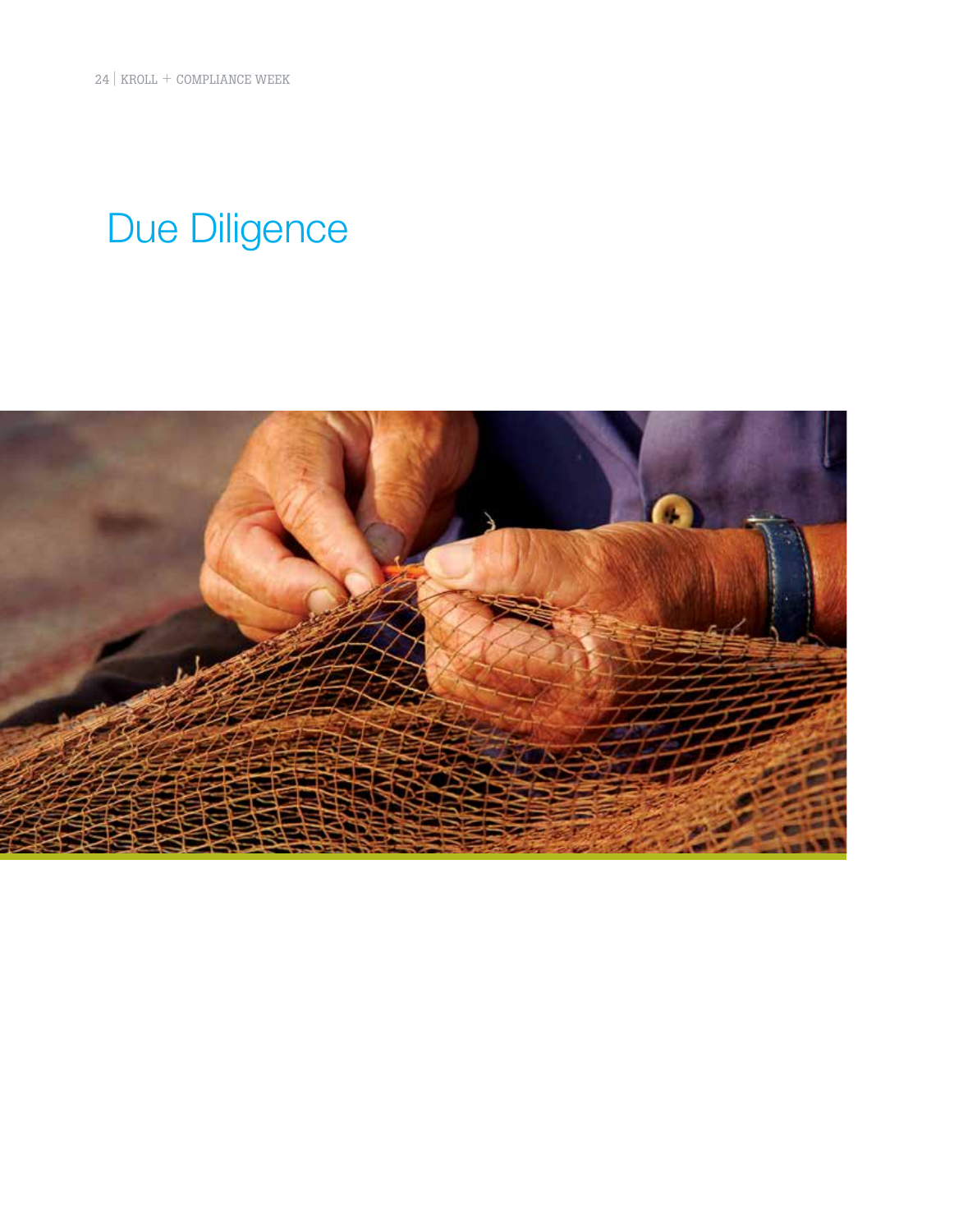## Due Diligence

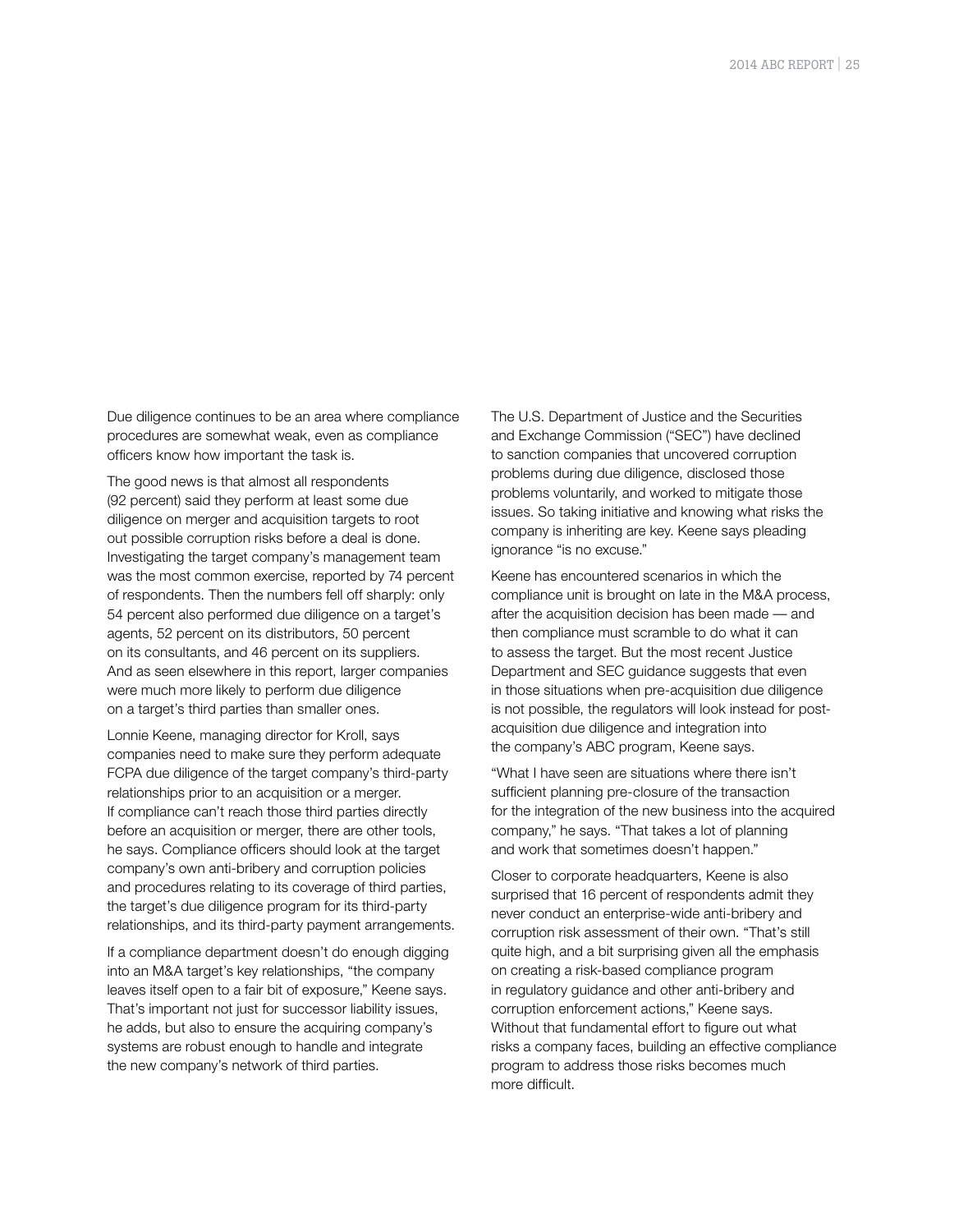Due diligence continues to be an area where compliance procedures are somewhat weak, even as compliance officers know how important the task is.

The good news is that almost all respondents (92 percent) said they perform at least some due diligence on merger and acquisition targets to root out possible corruption risks before a deal is done. Investigating the target company's management team was the most common exercise, reported by 74 percent of respondents. Then the numbers fell off sharply: only 54 percent also performed due diligence on a target's agents, 52 percent on its distributors, 50 percent on its consultants, and 46 percent on its suppliers. And as seen elsewhere in this report, larger companies were much more likely to perform due diligence on a target's third parties than smaller ones.

Lonnie Keene, managing director for Kroll, says companies need to make sure they perform adequate FCPA due diligence of the target company's third-party relationships prior to an acquisition or a merger. If compliance can't reach those third parties directly before an acquisition or merger, there are other tools, he says. Compliance officers should look at the target company's own anti-bribery and corruption policies and procedures relating to its coverage of third parties, the target's due diligence program for its third-party relationships, and its third-party payment arrangements.

If a compliance department doesn't do enough digging into an M&A target's key relationships, "the company leaves itself open to a fair bit of exposure," Keene says. That's important not just for successor liability issues, he adds, but also to ensure the acquiring company's systems are robust enough to handle and integrate the new company's network of third parties.

The U.S. Department of Justice and the Securities and Exchange Commission ("SEC") have declined to sanction companies that uncovered corruption problems during due diligence, disclosed those problems voluntarily, and worked to mitigate those issues. So taking initiative and knowing what risks the company is inheriting are key. Keene says pleading ignorance "is no excuse."

Keene has encountered scenarios in which the compliance unit is brought on late in the M&A process, after the acquisition decision has been made — and then compliance must scramble to do what it can to assess the target. But the most recent Justice Department and SEC guidance suggests that even in those situations when pre-acquisition due diligence is not possible, the regulators will look instead for postacquisition due diligence and integration into the company's ABC program, Keene says.

"What I have seen are situations where there isn't sufficient planning pre-closure of the transaction for the integration of the new business into the acquired company," he says. "That takes a lot of planning and work that sometimes doesn't happen."

Closer to corporate headquarters, Keene is also surprised that 16 percent of respondents admit they never conduct an enterprise-wide anti-bribery and corruption risk assessment of their own. "That's still quite high, and a bit surprising given all the emphasis on creating a risk-based compliance program in regulatory guidance and other anti-bribery and corruption enforcement actions," Keene says. Without that fundamental effort to figure out what risks a company faces, building an effective compliance program to address those risks becomes much more difficult.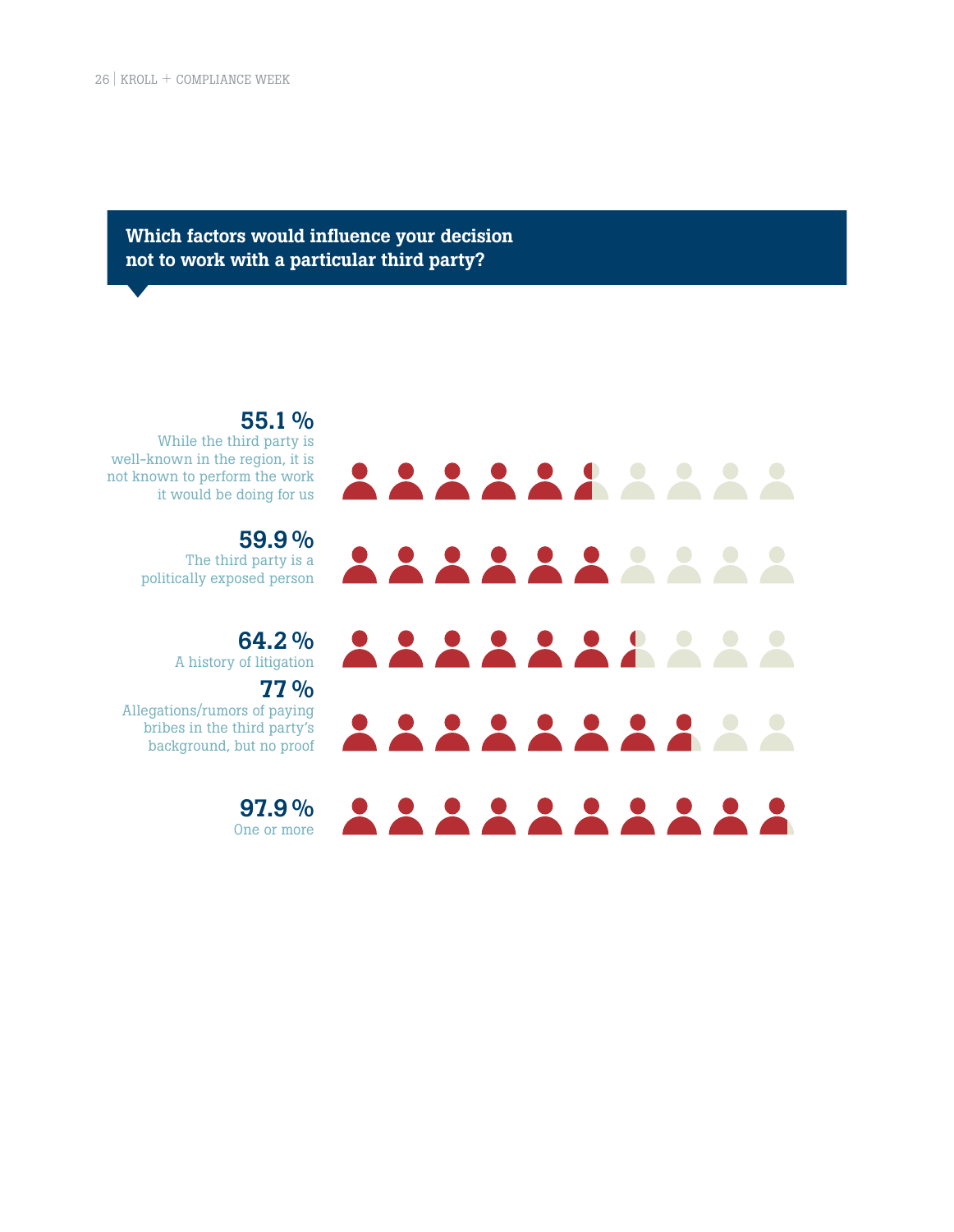Which factors would influence your decision not to work with a particular third party?



55.1 % While the third party is well-known in the region, it is not known to perform the work it would be doing for us

> 59.9 % The third party is a politically exposed person

> > 64.2 % A history of litigation

77 % Allegations/rumors of paying

bribes in the third party's background, but no proof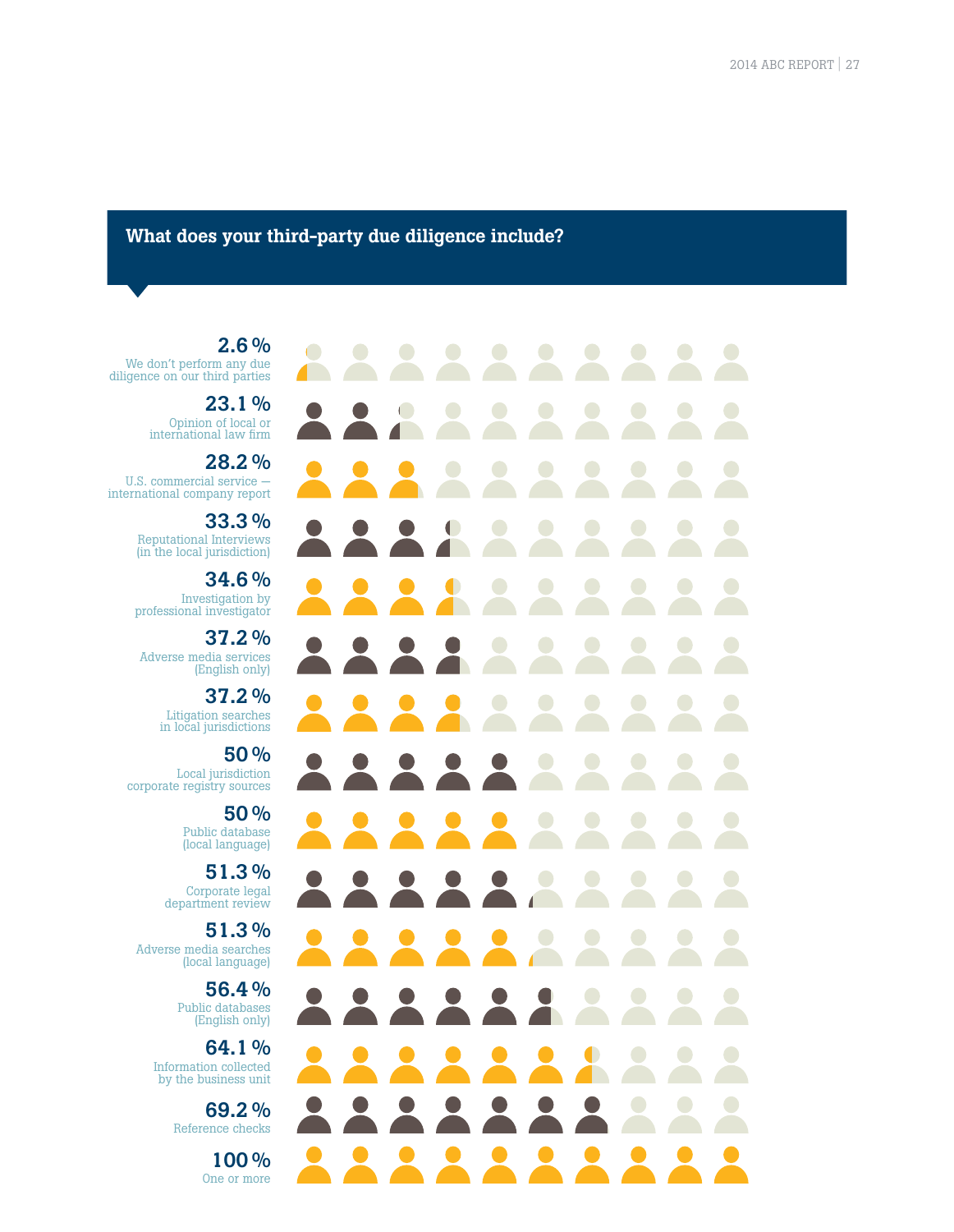#### What does your third-party due diligence include?

 $\overline{\phantom{0}}$  $\bigodot$  $\Box$  $\sqrt{2}$ 

2.6 % We don't perform any due diligence on our third parties

> 23.1 % Opinion of local or international law firm

28.2 % U.S. commercial service international company report

> 33.3 % Reputational Interviews (in the local jurisdiction)

34.6 % Investigation by professional investigator

37.2 % Adverse media services (English only)

> 37.2 % Litigation searches in local jurisdictions

50 % Local jurisdiction corporate registry sources

> 50 % Public database (local language)

51.3 % Corporate legal department review

51.3 % Adverse media searches (local language)

> 56.4 % Public databases (English only)

64.1 % Information collected by the business unit

> 69.2 % Reference checks

> > 100 % One or more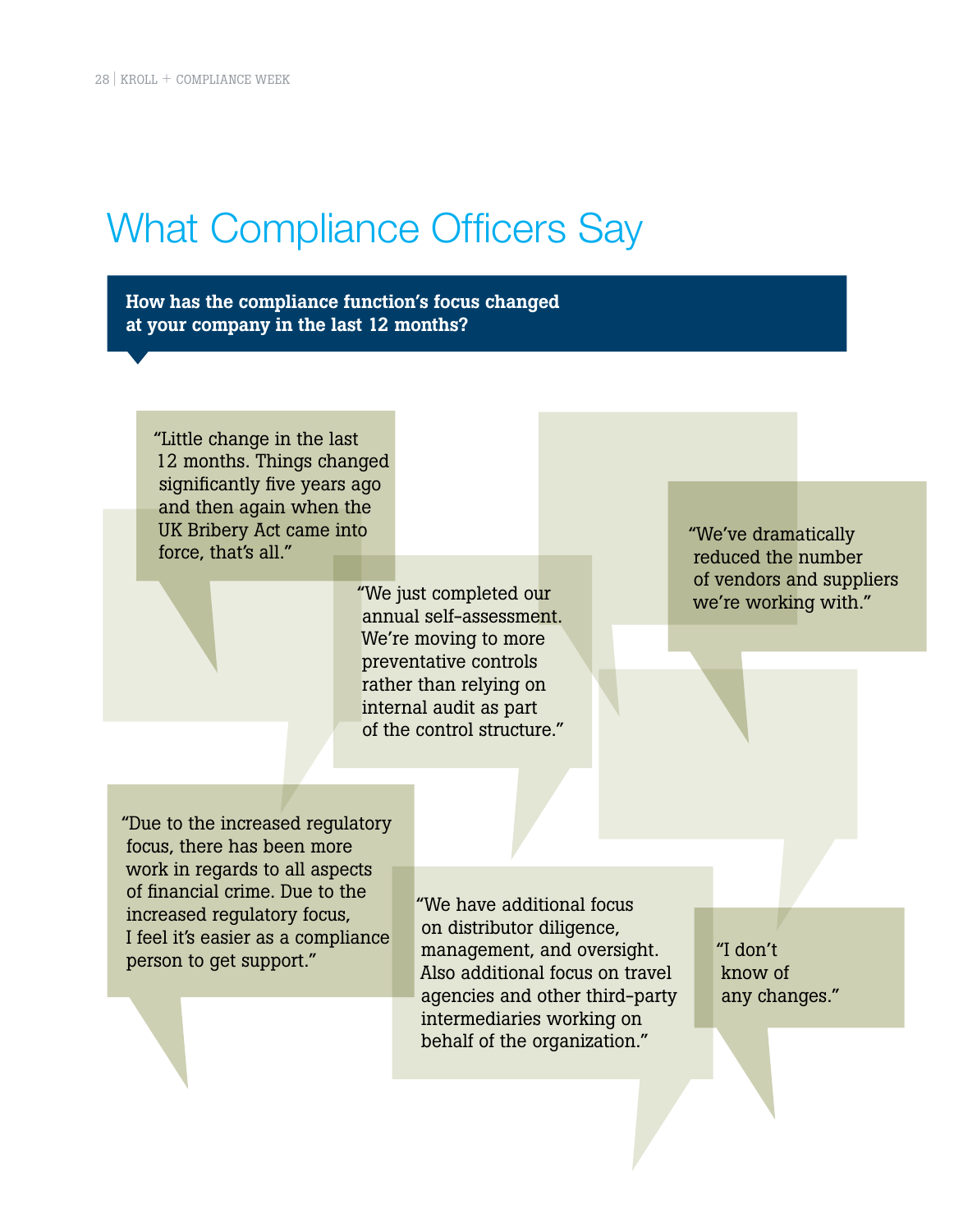## What Compliance Officers Say

How has the compliance function's focus changed at your company in the last 12 months?

"Little change in the last 12 months. Things changed significantly five years ago and then again when the UK Bribery Act came into force, that's all."

> "We just completed our annual self-assessment. We're moving to more preventative controls rather than relying on internal audit as part of the control structure."

"We've dramatically reduced the number of vendors and suppliers we're working with."

"Due to the increased regulatory focus, there has been more work in regards to all aspects of financial crime. Due to the increased regulatory focus, I feel it's easier as a compliance person to get support."

"We have additional focus on distributor diligence, management, and oversight. Also additional focus on travel agencies and other third-party intermediaries working on behalf of the organization."

"I don't know of any changes."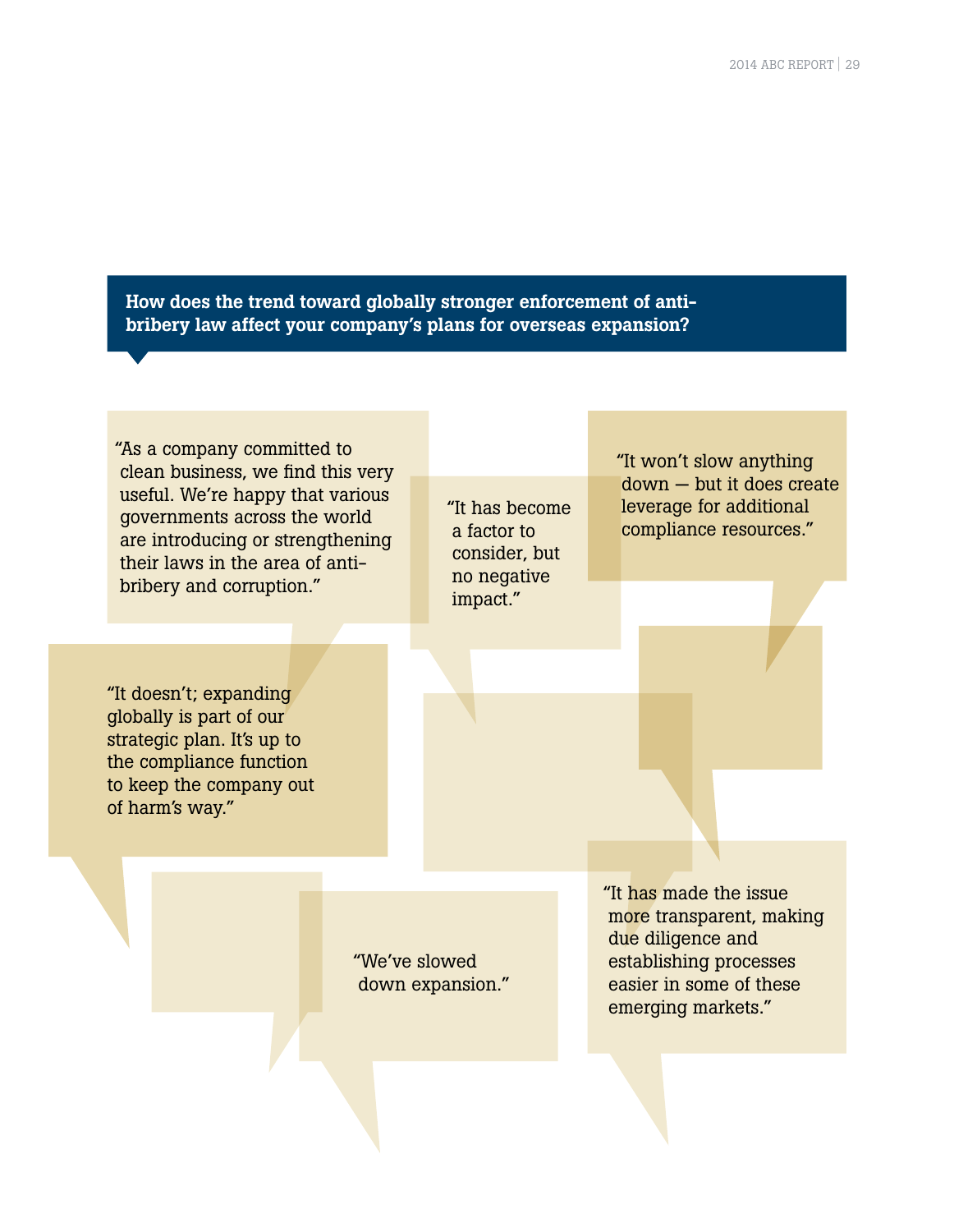How does the trend toward globally stronger enforcement of antibribery law affect your company's plans for overseas expansion?

"As a company committed to clean business, we find this very useful. We're happy that various governments across the world are introducing or strengthening their laws in the area of antibribery and corruption."

"It doesn't; expanding globally is part of our strategic plan. It's up to the compliance function to keep the company out of harm's way."

"It has become a factor to consider, but no negative impact."

"It won't slow anything down — but it does create leverage for additional compliance resources."

"We've slowed down expansion." "It has made the issue more transparent, making due diligence and establishing processes easier in some of these emerging markets."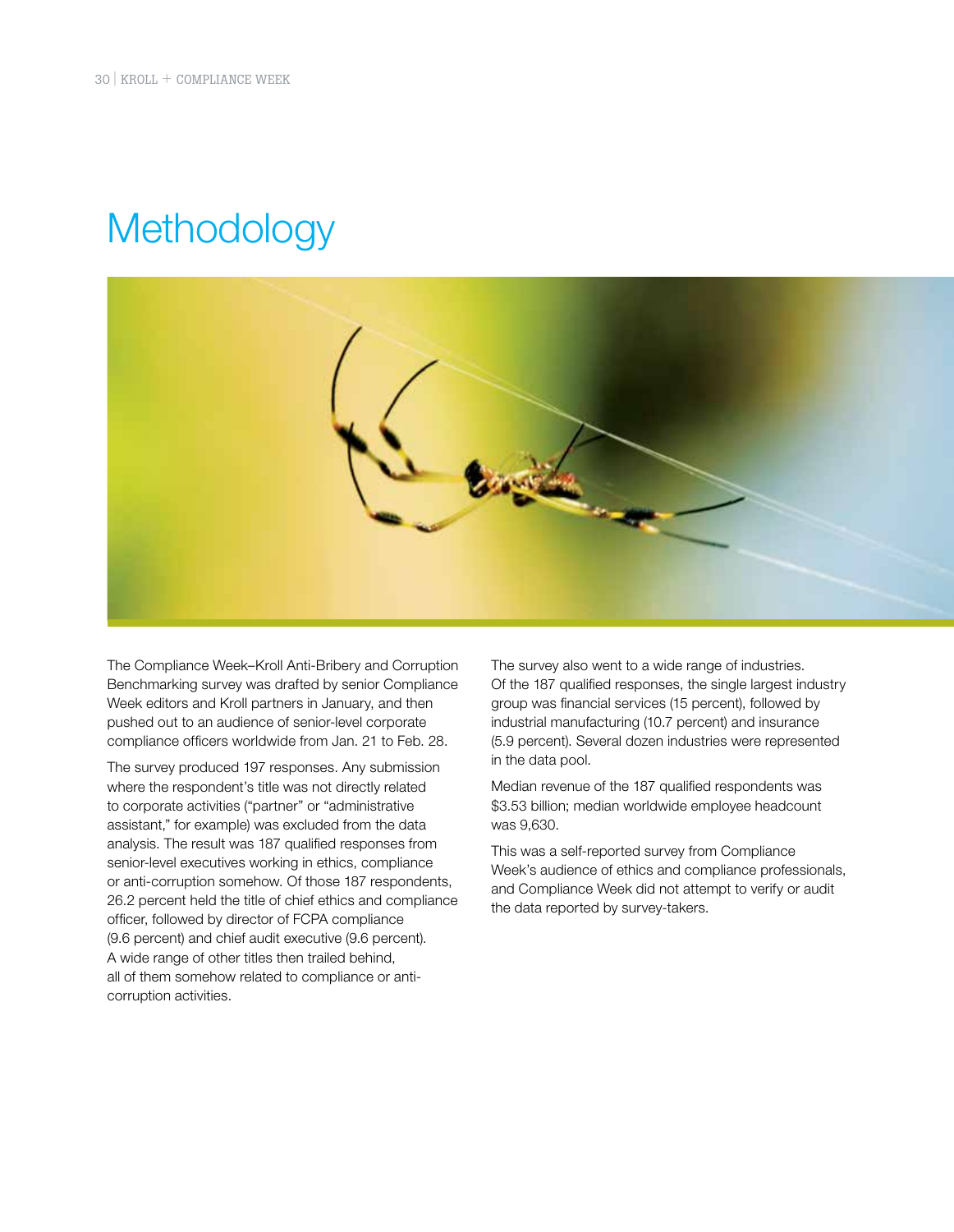## **Methodology**



The Compliance Week–Kroll Anti-Bribery and Corruption Benchmarking survey was drafted by senior Compliance Week editors and Kroll partners in January, and then pushed out to an audience of senior-level corporate compliance officers worldwide from Jan. 21 to Feb. 28.

The survey produced 197 responses. Any submission where the respondent's title was not directly related to corporate activities ("partner" or "administrative assistant," for example) was excluded from the data analysis. The result was 187 qualified responses from senior-level executives working in ethics, compliance or anti-corruption somehow. Of those 187 respondents, 26.2 percent held the title of chief ethics and compliance officer, followed by director of FCPA compliance (9.6 percent) and chief audit executive (9.6 percent). A wide range of other titles then trailed behind, all of them somehow related to compliance or anticorruption activities.

The survey also went to a wide range of industries. Of the 187 qualified responses, the single largest industry group was financial services (15 percent), followed by industrial manufacturing (10.7 percent) and insurance (5.9 percent). Several dozen industries were represented in the data pool.

Median revenue of the 187 qualified respondents was \$3.53 billion; median worldwide employee headcount was 9,630.

This was a self-reported survey from Compliance Week's audience of ethics and compliance professionals, and Compliance Week did not attempt to verify or audit the data reported by survey-takers.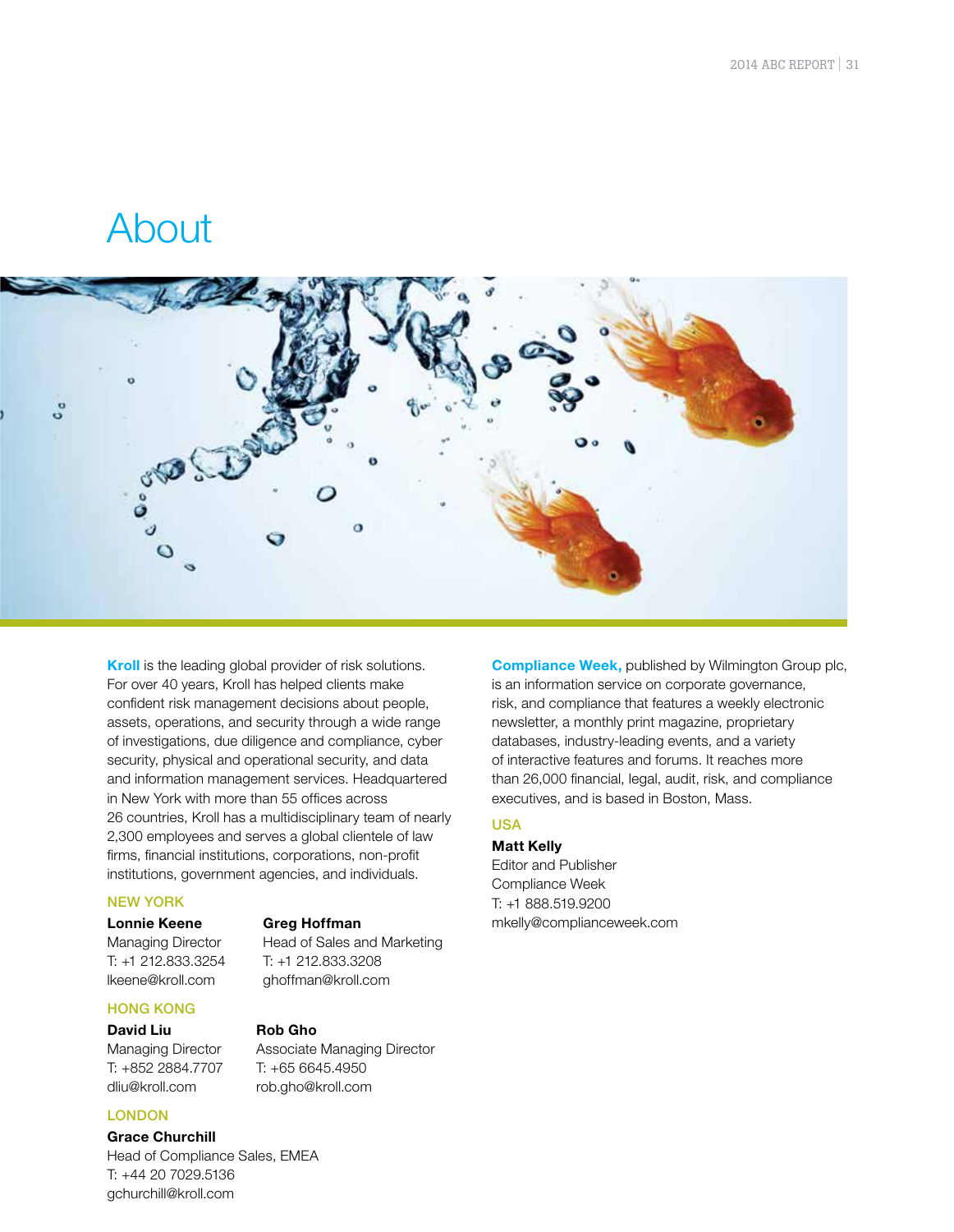### About



**Kroll** is the leading global provider of risk solutions. For over 40 years, Kroll has helped clients make confident risk management decisions about people, assets, operations, and security through a wide range of investigations, due diligence and compliance, cyber security, physical and operational security, and data and information management services. Headquartered in New York with more than 55 offices across 26 countries, Kroll has a multidisciplinary team of nearly 2,300 employees and serves a global clientele of law firms, financial institutions, corporations, non-profit institutions, government agencies, and individuals.

**Greg Hoffman** 

T: +65 6645.4950 rob.gho@kroll.com

**Rob Gho** 

T: +1 212.833.3208 ghoffman@kroll.com

Head of Sales and Marketing

Associate Managing Director

#### NEW YORK

#### **Lonnie Keene**

Managing Director T: +1 212.833.3254 lkeene@kroll.com

#### HONG KONG

#### **David Liu**

Managing Director T: +852 2884.7707 dliu@kroll.com

#### LONDON

**Grace Churchill** 

Head of Compliance Sales, EMEA T: +44 20 7029.5136 gchurchill@kroll.com

**Compliance Week,** published by Wilmington Group plc, is an information service on corporate governance, risk, and compliance that features a weekly electronic newsletter, a monthly print magazine, proprietary databases, industry-leading events, and a variety of interactive features and forums. It reaches more than 26,000 financial, legal, audit, risk, and compliance executives, and is based in Boston, Mass.

#### USA

**Matt Kelly** Editor and Publisher Compliance Week T: +1 888.519.9200 mkelly@complianceweek.com